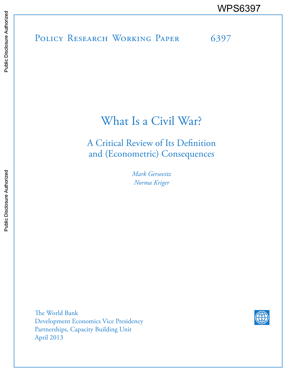# POLICY RESEARCH WORKING PAPER 6397 WPS6397<br>
Media<br>
Media<br>
Band<br>
Band<br>
Band<br>
Band<br>
Band<br>
Band<br>
Band<br>
Band<br>
Band<br>
Band<br>
Band<br>
Band<br>
Band<br>
Band<br>
Band<br>
Band<br>
Band<br>
Band<br>
Band<br>
Band<br>
Band<br>
Band<br>
Band<br>
Band<br>
Band<br>
Band<br>
Band<br>
Band<br>
Band<br>
Band<br>
Band<br>
Band<br>
Band<br>
B

## What Is a Civil War?

### A Critical Review of Its Definition and (Econometric) Consequences

*Mark Gersovitz Norma Kriger* 

The World Bank Development Economics Vice Presidency Partnerships, Capacity Building Unit April 2013

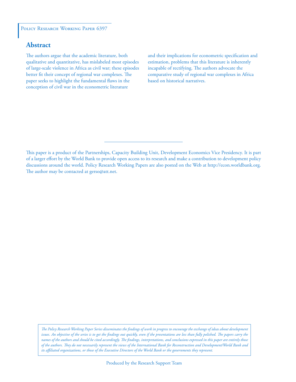#### POLICY RESEARCH WORKING PAPER 6397

#### **Abstract**

The authors argue that the academic literature, both qualitative and quantitative, has mislabeled most episodes of large-scale violence in Africa as civil war; these episodes better fit their concept of regional war complexes. The paper seeks to highlight the fundamental flaws in the conception of civil war in the econometric literature

and their implications for econometric specification and estimation, problems that this literature is inherently incapable of rectifying. The authors advocate the comparative study of regional war complexes in Africa based on historical narratives.

This paper is a product of the Partnerships, Capacity Building Unit, Development Economics Vice Presidency. It is part of a larger effort by the World Bank to provide open access to its research and make a contribution to development policy discussions around the world. Policy Research Working Papers are also posted on the Web at http://econ.worldbank.org. The author may be contacted at gerso@att.net.

*The Policy Research Working Paper Series disseminates the findings of work in progress to encourage the exchange of ideas about development*  issues. An objective of the series is to get the findings out quickly, even if the presentations are less than fully polished. The papers carry the *names of the authors and should be cited accordingly. The findings, interpretations, and conclusions expressed in this paper are entirely those of the authors. They do not necessarily represent the views of the International Bank for Reconstruction and Development/World Bank and its affiliated organizations, or those of the Executive Directors of the World Bank or the governments they represent.*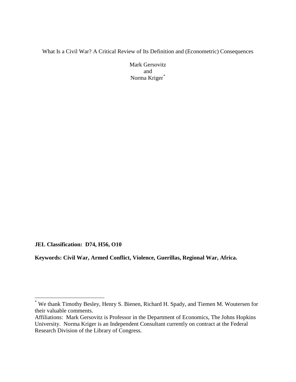#### What Is a Civil War? A Critical Review of Its Definition and (Econometric) Consequences

Mark Gersovitz and Norma Kriger[\\*](#page-2-0)

**JEL Classification: D74, H56, O10** 

**Keywords: Civil War, Armed Conflict, Violence, Guerillas, Regional War, Africa.** 

<span id="page-2-0"></span> \* We thank Timothy Besley, Henry S. Bienen, Richard H. Spady, and Tiemen M. Woutersen for their valuable comments.

Affiliations: Mark Gersovitz is Professor in the Department of Economics, The Johns Hopkins University. Norma Kriger is an Independent Consultant currently on contract at the Federal Research Division of the Library of Congress.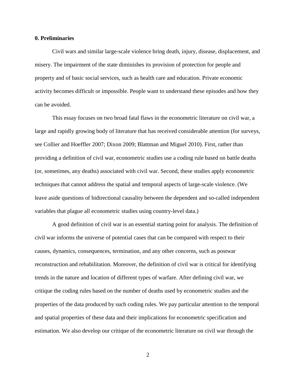#### **0. Preliminaries**

Civil wars and similar large-scale violence bring death, injury, disease, displacement, and misery. The impairment of the state diminishes its provision of protection for people and property and of basic social services, such as health care and education. Private economic activity becomes difficult or impossible. People want to understand these episodes and how they can be avoided.

This essay focuses on two broad fatal flaws in the econometric literature on civil war, a large and rapidly growing body of literature that has received considerable attention (for surveys, see Collier and Hoeffler 2007; Dixon 2009; Blattman and Miguel 2010). First, rather than providing a definition of civil war, econometric studies use a coding rule based on battle deaths (or, sometimes, any deaths) associated with civil war. Second, these studies apply econometric techniques that cannot address the spatial and temporal aspects of large-scale violence. (We leave aside questions of bidirectional causality between the dependent and so-called independent variables that plague all econometric studies using country-level data.)

 A good definition of civil war is an essential starting point for analysis. The definition of civil war informs the universe of potential cases that can be compared with respect to their causes, dynamics, consequences, termination, and any other concerns, such as postwar reconstruction and rehabilitation. Moreover, the definition of civil war is critical for identifying trends in the nature and location of different types of warfare. After defining civil war, we critique the coding rules based on the number of deaths used by econometric studies and the properties of the data produced by such coding rules. We pay particular attention to the temporal and spatial properties of these data and their implications for econometric specification and estimation. We also develop our critique of the econometric literature on civil war through the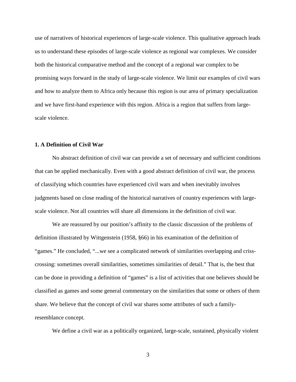use of narratives of historical experiences of large-scale violence. This qualitative approach leads us to understand these episodes of large-scale violence as regional war complexes. We consider both the historical comparative method and the concept of a regional war complex to be promising ways forward in the study of large-scale violence. We limit our examples of civil wars and how to analyze them to Africa only because this region is our area of primary specialization and we have first-hand experience with this region. Africa is a region that suffers from largescale violence.

#### **1. A Definition of Civil War**

 No abstract definition of civil war can provide a set of necessary and sufficient conditions that can be applied mechanically. Even with a good abstract definition of civil war, the process of classifying which countries have experienced civil wars and when inevitably involves judgments based on close reading of the historical narratives of country experiences with largescale violence. Not all countries will share all dimensions in the definition of civil war.

We are reassured by our position's affinity to the classic discussion of the problems of definition illustrated by Wittgenstein (1958, §66) in his examination of the definition of "games." He concluded, "...we see a complicated network of similarities overlapping and crisscrossing: sometimes overall similarities, sometimes similarities of detail." That is, the best that can be done in providing a definition of "games" is a list of activities that one believes should be classified as games and some general commentary on the similarities that some or others of them share. We believe that the concept of civil war shares some attributes of such a familyresemblance concept.

We define a civil war as a politically organized, large-scale, sustained, physically violent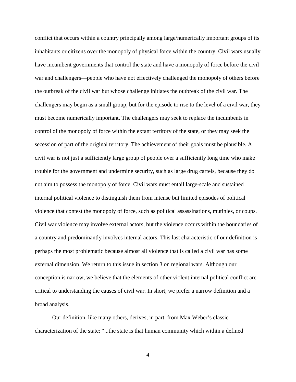conflict that occurs within a country principally among large/numerically important groups of its inhabitants or citizens over the monopoly of physical force within the country. Civil wars usually have incumbent governments that control the state and have a monopoly of force before the civil war and challengers—people who have not effectively challenged the monopoly of others before the outbreak of the civil war but whose challenge initiates the outbreak of the civil war. The challengers may begin as a small group, but for the episode to rise to the level of a civil war, they must become numerically important. The challengers may seek to replace the incumbents in control of the monopoly of force within the extant territory of the state, or they may seek the secession of part of the original territory. The achievement of their goals must be plausible. A civil war is not just a sufficiently large group of people over a sufficiently long time who make trouble for the government and undermine security, such as large drug cartels, because they do not aim to possess the monopoly of force. Civil wars must entail large-scale and sustained internal political violence to distinguish them from intense but limited episodes of political violence that contest the monopoly of force, such as political assassinations, mutinies, or coups. Civil war violence may involve external actors, but the violence occurs within the boundaries of a country and predominantly involves internal actors. This last characteristic of our definition is perhaps the most problematic because almost all violence that is called a civil war has some external dimension. We return to this issue in section 3 on regional wars. Although our conception is narrow, we believe that the elements of other violent internal political conflict are critical to understanding the causes of civil war. In short, we prefer a narrow definition and a broad analysis.

 Our definition, like many others, derives, in part, from Max Weber's classic characterization of the state: "...the state is that human community which within a defined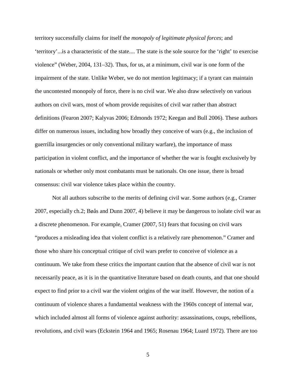territory successfully claims for itself the *monopoly of legitimate physical forces*; and 'territory'...is a characteristic of the state.... The state is the sole source for the 'right' to exercise violence" (Weber, 2004, 131–32). Thus, for us, at a minimum, civil war is one form of the impairment of the state. Unlike Weber, we do not mention legitimacy; if a tyrant can maintain the uncontested monopoly of force, there is no civil war. We also draw selectively on various authors on civil wars, most of whom provide requisites of civil war rather than abstract definitions (Fearon 2007; Kalyvas 2006; Edmonds 1972; Keegan and Bull 2006). These authors differ on numerous issues, including how broadly they conceive of wars (e.g., the inclusion of guerrilla insurgencies or only conventional military warfare), the importance of mass participation in violent conflict, and the importance of whether the war is fought exclusively by nationals or whether only most combatants must be nationals. On one issue, there is broad consensus: civil war violence takes place within the country.

 Not all authors subscribe to the merits of defining civil war. Some authors (e.g., Cramer 2007, especially ch.2; Bøås and Dunn 2007, 4) believe it may be dangerous to isolate civil war as a discrete phenomenon. For example, Cramer (2007, 51) fears that focusing on civil wars "produces a misleading idea that violent conflict is a relatively rare phenomenon." Cramer and those who share his conceptual critique of civil wars prefer to conceive of violence as a continuum. We take from these critics the important caution that the absence of civil war is not necessarily peace, as it is in the quantitative literature based on death counts, and that one should expect to find prior to a civil war the violent origins of the war itself. However, the notion of a continuum of violence shares a fundamental weakness with the 1960s concept of internal war, which included almost all forms of violence against authority: assassinations, coups, rebellions, revolutions, and civil wars (Eckstein 1964 and 1965; Rosenau 1964; Luard 1972). There are too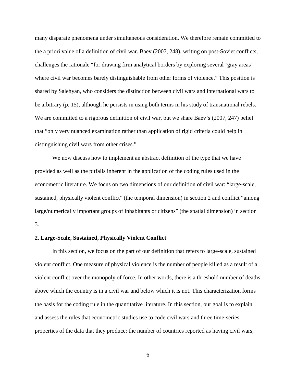many disparate phenomena under simultaneous consideration. We therefore remain committed to the a priori value of a definition of civil war. Baev (2007, 248), writing on post-Soviet conflicts, challenges the rationale "for drawing firm analytical borders by exploring several 'gray areas' where civil war becomes barely distinguishable from other forms of violence." This position is shared by Salehyan, who considers the distinction between civil wars and international wars to be arbitrary (p. 15), although he persists in using both terms in his study of transnational rebels. We are committed to a rigorous definition of civil war, but we share Baev's (2007, 247) belief that "only very nuanced examination rather than application of rigid criteria could help in distinguishing civil wars from other crises."

 We now discuss how to implement an abstract definition of the type that we have provided as well as the pitfalls inherent in the application of the coding rules used in the econometric literature. We focus on two dimensions of our definition of civil war: "large-scale, sustained, physically violent conflict" (the temporal dimension) in section 2 and conflict "among large/numerically important groups of inhabitants or citizens" (the spatial dimension) in section 3.

#### **2. Large-Scale, Sustained, Physically Violent Conflict**

 In this section, we focus on the part of our definition that refers to large-scale, sustained violent conflict. One measure of physical violence is the number of people killed as a result of a violent conflict over the monopoly of force. In other words, there is a threshold number of deaths above which the country is in a civil war and below which it is not. This characterization forms the basis for the coding rule in the quantitative literature. In this section, our goal is to explain and assess the rules that econometric studies use to code civil wars and three time-series properties of the data that they produce: the number of countries reported as having civil wars,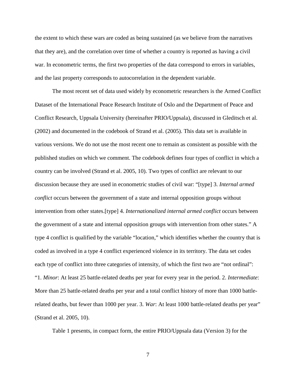the extent to which these wars are coded as being sustained (as we believe from the narratives that they are), and the correlation over time of whether a country is reported as having a civil war. In econometric terms, the first two properties of the data correspond to errors in variables, and the last property corresponds to autocorrelation in the dependent variable.

The most recent set of data used widely by econometric researchers is the Armed Conflict Dataset of the International Peace Research Institute of Oslo and the Department of Peace and Conflict Research, Uppsala University (hereinafter PRIO/Uppsala), discussed in Gleditsch et al. (2002) and documented in the codebook of Strand et al. (2005). This data set is available in various versions. We do not use the most recent one to remain as consistent as possible with the published studies on which we comment. The codebook defines four types of conflict in which a country can be involved (Strand et al. 2005, 10). Two types of conflict are relevant to our discussion because they are used in econometric studies of civil war: "[type] 3. *Internal armed conflict* occurs between the government of a state and internal opposition groups without intervention from other states.[type] 4. *Internationalized internal armed conflict* occurs between the government of a state and internal opposition groups with intervention from other states." A type 4 conflict is qualified by the variable "location," which identifies whether the country that is coded as involved in a type 4 conflict experienced violence in its territory. The data set codes each type of conflict into three categories of intensity, of which the first two are "not ordinal": "1. *Minor*: At least 25 battle-related deaths per year for every year in the period. 2. *Intermediate*: More than 25 battle-related deaths per year and a total conflict history of more than 1000 battlerelated deaths, but fewer than 1000 per year. 3. *War*: At least 1000 battle-related deaths per year" (Strand et al. 2005, 10).

Table 1 presents, in compact form, the entire PRIO/Uppsala data (Version 3) for the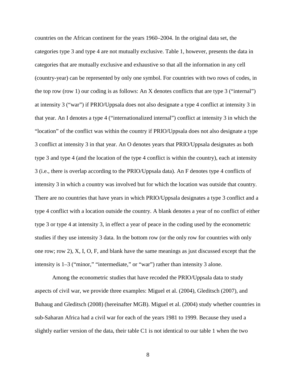countries on the African continent for the years 1960–2004. In the original data set, the categories type 3 and type 4 are not mutually exclusive. Table 1, however, presents the data in categories that are mutually exclusive and exhaustive so that all the information in any cell (country-year) can be represented by only one symbol. For countries with two rows of codes, in the top row (row 1) our coding is as follows: An X denotes conflicts that are type 3 ("internal") at intensity 3 ("war") if PRIO/Uppsala does not also designate a type 4 conflict at intensity 3 in that year. An I denotes a type 4 ("internationalized internal") conflict at intensity 3 in which the "location" of the conflict was within the country if PRIO/Uppsala does not also designate a type 3 conflict at intensity 3 in that year. An O denotes years that PRIO/Uppsala designates as both type 3 and type 4 (and the location of the type 4 conflict is within the country), each at intensity 3 (i.e., there is overlap according to the PRIO/Uppsala data). An F denotes type 4 conflicts of intensity 3 in which a country was involved but for which the location was outside that country. There are no countries that have years in which PRIO/Uppsala designates a type 3 conflict and a type 4 conflict with a location outside the country. A blank denotes a year of no conflict of either type 3 or type 4 at intensity 3, in effect a year of peace in the coding used by the econometric studies if they use intensity 3 data. In the bottom row (or the only row for countries with only one row; row 2), X, I, O, F, and blank have the same meanings as just discussed except that the intensity is 1–3 ("minor," "intermediate," or "war") rather than intensity 3 alone.

 Among the econometric studies that have recoded the PRIO/Uppsala data to study aspects of civil war, we provide three examples: Miguel et al. (2004), Gleditsch (2007), and Buhaug and Gleditsch (2008) (hereinafter MGB). Miguel et al. (2004) study whether countries in sub-Saharan Africa had a civil war for each of the years 1981 to 1999. Because they used a slightly earlier version of the data, their table C1 is not identical to our table 1 when the two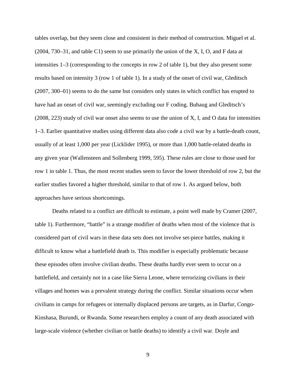tables overlap, but they seem close and consistent in their method of construction. Miguel et al. (2004, 730–31, and table C1) seem to use primarily the union of the X, I, O, and F data at intensities 1–3 (corresponding to the concepts in row 2 of table 1), but they also present some results based on intensity 3 (row 1 of table 1). In a study of the onset of civil war, Gleditsch (2007, 300–01) seems to do the same but considers only states in which conflict has erupted to have had an onset of civil war, seemingly excluding our F coding. Buhaug and Gleditsch's (2008, 223) study of civil war onset also seems to use the union of X, I, and O data for intensities 1–3. Earlier quantitative studies using different data also code a civil war by a battle-death count, usually of at least 1,000 per year (Licklider 1995), or more than 1,000 battle-related deaths in any given year (Wallensteen and Sollenberg 1999, 595). These rules are close to those used for row 1 in table 1. Thus, the most recent studies seem to favor the lower threshold of row 2, but the earlier studies favored a higher threshold, similar to that of row 1. As argued below, both approaches have serious shortcomings.

Deaths related to a conflict are difficult to estimate, a point well made by Cramer (2007, table 1). Furthermore, "battle" is a strange modifier of deaths when most of the violence that is considered part of civil wars in these data sets does not involve set-piece battles, making it difficult to know what a battlefield death is. This modifier is especially problematic because these episodes often involve civilian deaths. These deaths hardly ever seem to occur on a battlefield, and certainly not in a case like Sierra Leone, where terrorizing civilians in their villages and homes was a prevalent strategy during the conflict. Similar situations occur when civilians in camps for refugees or internally displaced persons are targets, as in Darfur, Congo-Kinshasa, Burundi, or Rwanda. Some researchers employ a count of any death associated with large-scale violence (whether civilian or battle deaths) to identify a civil war. Doyle and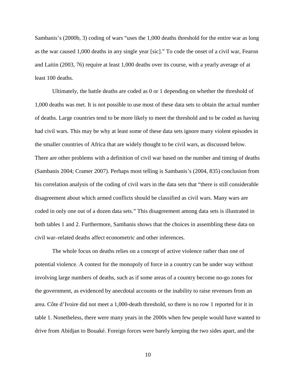Sambanis's (2000b, 3) coding of wars "uses the 1,000 deaths threshold for the entire war as long as the war caused 1,000 deaths in any single year [sic]." To code the onset of a civil war, Fearon and Laitin (2003, 76) require at least 1,000 deaths over its course, with a yearly average of at least 100 deaths.

 Ultimately, the battle deaths are coded as 0 or 1 depending on whether the threshold of 1,000 deaths was met. It is not possible to use most of these data sets to obtain the actual number of deaths. Large countries tend to be more likely to meet the threshold and to be coded as having had civil wars. This may be why at least some of these data sets ignore many violent episodes in the smaller countries of Africa that are widely thought to be civil wars, as discussed below. There are other problems with a definition of civil war based on the number and timing of deaths (Sambanis 2004; Cramer 2007). Perhaps most telling is Sambanis's (2004, 835) conclusion from his correlation analysis of the coding of civil wars in the data sets that "there is still considerable disagreement about which armed conflicts should be classified as civil wars. Many wars are coded in only one out of a dozen data sets." This disagreement among data sets is illustrated in both tables 1 and 2. Furthermore, Sambanis shows that the choices in assembling these data on civil war–related deaths affect econometric and other inferences.

 The whole focus on deaths relies on a concept of active violence rather than one of potential violence. A contest for the monopoly of force in a country can be under way without involving large numbers of deaths, such as if some areas of a country become no-go zones for the government, as evidenced by anecdotal accounts or the inability to raise revenues from an area. Côte d'Ivoire did not meet a 1,000-death threshold, so there is no row 1 reported for it in table 1. Nonetheless, there were many years in the 2000s when few people would have wanted to drive from Abidjan to Bouaké. Foreign forces were barely keeping the two sides apart, and the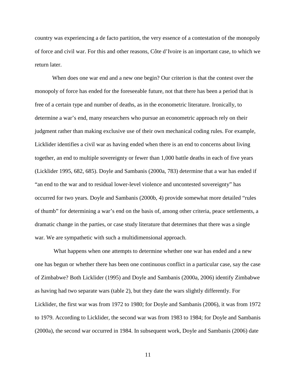country was experiencing a de facto partition, the very essence of a contestation of the monopoly of force and civil war. For this and other reasons, Côte d'Ivoire is an important case, to which we return later.

 When does one war end and a new one begin? Our criterion is that the contest over the monopoly of force has ended for the foreseeable future, not that there has been a period that is free of a certain type and number of deaths, as in the econometric literature. Ironically, to determine a war's end, many researchers who pursue an econometric approach rely on their judgment rather than making exclusive use of their own mechanical coding rules. For example, Licklider identifies a civil war as having ended when there is an end to concerns about living together, an end to multiple sovereignty or fewer than 1,000 battle deaths in each of five years (Licklider 1995, 682, 685). Doyle and Sambanis (2000a, 783) determine that a war has ended if "an end to the war and to residual lower-level violence and uncontested sovereignty" has occurred for two years. Doyle and Sambanis (2000b, 4) provide somewhat more detailed "rules of thumb" for determining a war's end on the basis of, among other criteria, peace settlements, a dramatic change in the parties, or case study literature that determines that there was a single war. We are sympathetic with such a multidimensional approach.

 What happens when one attempts to determine whether one war has ended and a new one has begun or whether there has been one continuous conflict in a particular case, say the case of Zimbabwe? Both Licklider (1995) and Doyle and Sambanis (2000a, 2006) identify Zimbabwe as having had two separate wars (table 2), but they date the wars slightly differently. For Licklider, the first war was from 1972 to 1980; for Doyle and Sambanis (2006), it was from 1972 to 1979. According to Licklider, the second war was from 1983 to 1984; for Doyle and Sambanis (2000a), the second war occurred in 1984. In subsequent work, Doyle and Sambanis (2006) date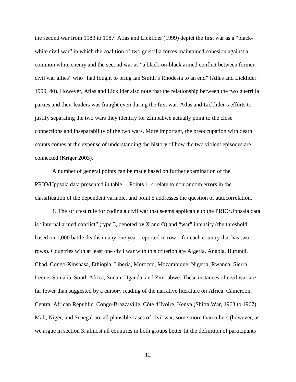the second war from 1983 to 1987. Atlas and Licklider (1999) depict the first war as a "blackwhite civil war" in which the coalition of two guerrilla forces maintained cohesion against a common white enemy and the second war as "a black-on-black armed conflict between former civil war allies" who "had fought to bring Ian Smith's Rhodesia to an end" (Atlas and Licklider 1999, 40). However, Atlas and Licklider also note that the relationship between the two guerrilla parties and their leaders was fraught even during the first war. Atlas and Licklider's efforts to justify separating the two wars they identify for Zimbabwe actually point to the close connections and inseparability of the two wars. More important, the preoccupation with death counts comes at the expense of understanding the history of how the two violent episodes are connected (Kriger 2003).

 A number of general points can be made based on further examination of the PRIO/Uppsala data presented in table 1. Points 1–4 relate to nonrandom errors in the classification of the dependent variable, and point 5 addresses the question of autocorrelation.

1. The strictest rule for coding a civil war that seems applicable to the PRIO/Uppsala data is "internal armed conflict" (type 3, denoted by X and O) and "war" intensity (the threshold based on 1,000 battle deaths in any one year, reported in row 1 for each country that has two rows). Countries with at least one civil war with this criterion are Algeria, Angola, Burundi, Chad, Congo-Kinshasa, Ethiopia, Liberia, Morocco, Mozambique, Nigeria, Rwanda, Sierra Leone, Somalia, South Africa, Sudan, Uganda, and Zimbabwe. These instances of civil war are far fewer than suggested by a cursory reading of the narrative literature on Africa. Cameroon, Central African Republic, Congo-Brazzaville, Côte d'Ivoire, Kenya (Shifta War, 1963 to 1967), Mali, Niger, and Senegal are all plausible cases of civil war, some more than others (however, as we argue in section 3, almost all countries in both groups better fit the definition of participants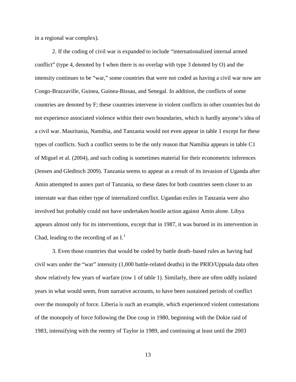in a regional war complex).

 2. If the coding of civil war is expanded to include "internationalized internal armed conflict" (type 4, denoted by I when there is no overlap with type 3 denoted by O) and the intensity continues to be "war," some countries that were not coded as having a civil war now are Congo-Brazzaville, Guinea, Guinea-Bissau, and Senegal. In addition, the conflicts of some countries are denoted by F; these countries intervene in violent conflicts in other countries but do not experience associated violence within their own boundaries, which is hardly anyone's idea of a civil war. Mauritania, Namibia, and Tanzania would not even appear in table 1 except for these types of conflicts. Such a conflict seems to be the only reason that Namibia appears in table C1 of Miguel et al. (2004), and such coding is sometimes material for their econometric inferences (Jensen and Gleditsch 2009). Tanzania seems to appear as a result of its invasion of Uganda after Amin attempted to annex part of Tanzania, so these dates for both countries seem closer to an interstate war than either type of internalized conflict. Ugandan exiles in Tanzania were also involved but probably could not have undertaken hostile action against Amin alone. Libya appears almost only for its interventions, except that in 1987, it was burned in its intervention in Chad, leading to the recording of an  $I<sub>1</sub><sup>1</sup>$  $I<sub>1</sub><sup>1</sup>$  $I<sub>1</sub><sup>1</sup>$ 

 3. Even those countries that would be coded by battle death–based rules as having had civil wars under the "war" intensity (1,000 battle-related deaths) in the PRIO/Uppsala data often show relatively few years of warfare (row 1 of table 1). Similarly, there are often oddly isolated years in what would seem, from narrative accounts, to have been sustained periods of conflict over the monopoly of force. Liberia is such an example, which experienced violent contestations of the monopoly of force following the Doe coup in 1980, beginning with the Dokie raid of 1983, intensifying with the reentry of Taylor in 1989, and continuing at least until the 2003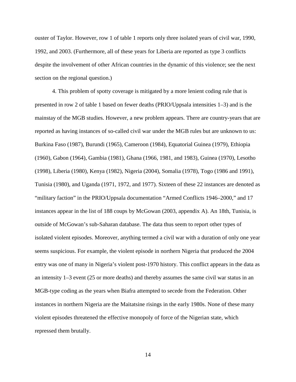ouster of Taylor. However, row 1 of table 1 reports only three isolated years of civil war, 1990, 1992, and 2003. (Furthermore, all of these years for Liberia are reported as type 3 conflicts despite the involvement of other African countries in the dynamic of this violence; see the next section on the regional question.)

 4. This problem of spotty coverage is mitigated by a more lenient coding rule that is presented in row 2 of table 1 based on fewer deaths (PRIO/Uppsala intensities 1–3) and is the mainstay of the MGB studies. However, a new problem appears. There are country-years that are reported as having instances of so-called civil war under the MGB rules but are unknown to us: Burkina Faso (1987), Burundi (1965), Cameroon (1984), Equatorial Guinea (1979), Ethiopia (1960), Gabon (1964), Gambia (1981), Ghana (1966, 1981, and 1983), Guinea (1970), Lesotho (1998), Liberia (1980), Kenya (1982), Nigeria (2004), Somalia (1978), Togo (1986 and 1991), Tunisia (1980), and Uganda (1971, 1972, and 1977). Sixteen of these 22 instances are denoted as "military faction" in the PRIO/Uppsala documentation "Armed Conflicts 1946–2000," and 17 instances appear in the list of 188 coups by McGowan (2003, appendix A). An 18th, Tunisia, is outside of McGowan's sub-Saharan database. The data thus seem to report other types of isolated violent episodes. Moreover, anything termed a civil war with a duration of only one year seems suspicious. For example, the violent episode in northern Nigeria that produced the 2004 entry was one of many in Nigeria's violent post-1970 history. This conflict appears in the data as an intensity 1–3 event (25 or more deaths) and thereby assumes the same civil war status in an MGB-type coding as the years when Biafra attempted to secede from the Federation. Other instances in northern Nigeria are the Maitatsine risings in the early 1980s. None of these many violent episodes threatened the effective monopoly of force of the Nigerian state, which repressed them brutally.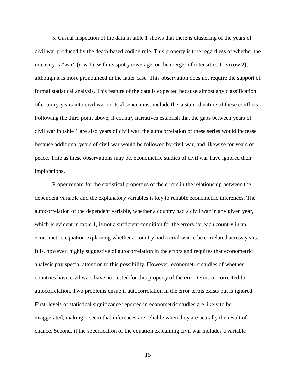5. Casual inspection of the data in table 1 shows that there is clustering of the years of civil war produced by the death-based coding rule. This property is true regardless of whether the intensity is "war" (row 1), with its spotty coverage, or the merger of intensities 1–3 (row 2), although it is more pronounced in the latter case. This observation does not require the support of formal statistical analysis. This feature of the data is expected because almost any classification of country-years into civil war or its absence must include the sustained nature of these conflicts. Following the third point above, if country narratives establish that the gaps between years of civil war in table 1 are also years of civil war, the autocorrelation of these series would increase because additional years of civil war would be followed by civil war, and likewise for years of peace. Trite as these observations may be, econometric studies of civil war have ignored their implications.

 Proper regard for the statistical properties of the errors in the relationship between the dependent variable and the explanatory variables is key to reliable econometric inferences. The autocorrelation of the dependent variable, whether a country had a civil war in any given year, which is evident in table 1, is not a sufficient condition for the errors for each country in an econometric equation explaining whether a country had a civil war to be correlated across years. It is, however, highly suggestive of autocorrelation in the errors and requires that econometric analysis pay special attention to this possibility. However, econometric studies of whether countries have civil wars have not tested for this property of the error terms or corrected for autocorrelation. Two problems ensue if autocorrelation in the error terms exists but is ignored. First, levels of statistical significance reported in econometric studies are likely to be exaggerated, making it seem that inferences are reliable when they are actually the result of chance. Second, if the specification of the equation explaining civil war includes a variable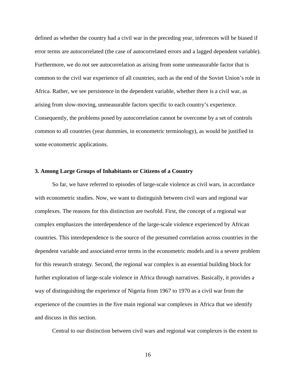defined as whether the country had a civil war in the preceding year, inferences will be biased if error terms are autocorrelated (the case of autocorrelated errors and a lagged dependent variable). Furthermore, we do not see autocorrelation as arising from some unmeasurable factor that is common to the civil war experience of all countries, such as the end of the Soviet Union's role in Africa. Rather, we see persistence in the dependent variable, whether there is a civil war, as arising from slow-moving, unmeasurable factors specific to each country's experience. Consequently, the problems posed by autocorrelation cannot be overcome by a set of controls common to all countries (year dummies, in econometric terminology), as would be justified in some econometric applications.

#### **3. Among Large Groups of Inhabitants or Citizens of a Country**

So far, we have referred to episodes of large-scale violence as civil wars, in accordance with econometric studies. Now, we want to distinguish between civil wars and regional war complexes. The reasons for this distinction are twofold. First, the concept of a regional war complex emphasizes the interdependence of the large-scale violence experienced by African countries. This interdependence is the source of the presumed correlation across countries in the dependent variable and associated error terms in the econometric models and is a severe problem for this research strategy. Second, the regional war complex is an essential building block for further exploration of large-scale violence in Africa through narratives. Basically, it provides a way of distinguishing the experience of Nigeria from 1967 to 1970 as a civil war from the experience of the countries in the five main regional war complexes in Africa that we identify and discuss in this section.

Central to our distinction between civil wars and regional war complexes is the extent to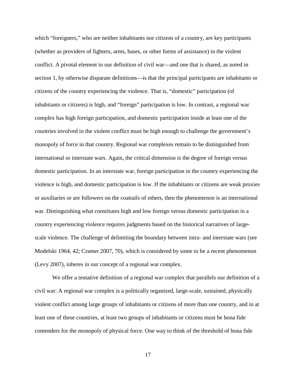which "foreigners," who are neither inhabitants nor citizens of a country, are key participants (whether as providers of fighters, arms, bases, or other forms of assistance) in the violent conflict. A pivotal element in our definition of civil war—and one that is shared, as noted in section 1, by otherwise disparate definitions—is that the principal participants are inhabitants or citizens of the country experiencing the violence. That is, "domestic" participation (of inhabitants or citizens) is high, and "foreign" participation is low. In contrast, a regional war complex has high foreign participation, and domestic participation inside at least one of the countries involved in the violent conflict must be high enough to challenge the government's monopoly of force in that country. Regional war complexes remain to be distinguished from international or interstate wars. Again, the critical dimension is the degree of foreign versus domestic participation. In an interstate war, foreign participation in the country experiencing the violence is high, and domestic participation is low. If the inhabitants or citizens are weak proxies or auxiliaries or are followers on the coattails of others, then the phenomenon is an international war. Distinguishing what constitutes high and low foreign versus domestic participation in a country experiencing violence requires judgments based on the historical narratives of largescale violence. The challenge of delimiting the boundary between intra- and interstate wars (see Modelski 1964, 42; Cramer 2007, 70), which is considered by some to be a recent phenomenon (Levy 2007), inheres in our concept of a regional war complex.

 We offer a tentative definition of a regional war complex that parallels our definition of a civil war: A regional war complex is a politically organized, large-scale, sustained, physically violent conflict among large groups of inhabitants or citizens of more than one country, and in at least one of these countries, at least two groups of inhabitants or citizens must be bona fide contenders for the monopoly of physical force. One way to think of the threshold of bona fide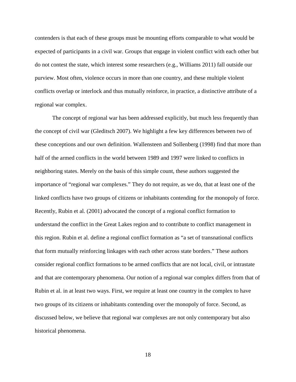contenders is that each of these groups must be mounting efforts comparable to what would be expected of participants in a civil war. Groups that engage in violent conflict with each other but do not contest the state, which interest some researchers (e.g., Williams 2011) fall outside our purview. Most often, violence occurs in more than one country, and these multiple violent conflicts overlap or interlock and thus mutually reinforce, in practice, a distinctive attribute of a regional war complex.

The concept of regional war has been addressed explicitly, but much less frequently than the concept of civil war (Gleditsch 2007). We highlight a few key differences between two of these conceptions and our own definition. Wallensteen and Sollenberg (1998) find that more than half of the armed conflicts in the world between 1989 and 1997 were linked to conflicts in neighboring states. Merely on the basis of this simple count, these authors suggested the importance of "regional war complexes." They do not require, as we do, that at least one of the linked conflicts have two groups of citizens or inhabitants contending for the monopoly of force. Recently, Rubin et al. (2001) advocated the concept of a regional conflict formation to understand the conflict in the Great Lakes region and to contribute to conflict management in this region. Rubin et al. define a regional conflict formation as "a set of transnational conflicts that form mutually reinforcing linkages with each other across state borders." These authors consider regional conflict formations to be armed conflicts that are not local, civil, or intrastate and that are contemporary phenomena. Our notion of a regional war complex differs from that of Rubin et al. in at least two ways. First, we require at least one country in the complex to have two groups of its citizens or inhabitants contending over the monopoly of force. Second, as discussed below, we believe that regional war complexes are not only contemporary but also historical phenomena.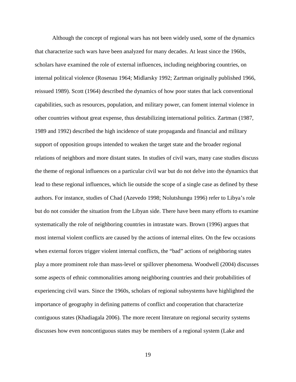Although the concept of regional wars has not been widely used, some of the dynamics that characterize such wars have been analyzed for many decades. At least since the 1960s, scholars have examined the role of external influences, including neighboring countries, on internal political violence (Rosenau 1964; Midlarsky 1992; Zartman originally published 1966, reissued 1989). Scott (1964) described the dynamics of how poor states that lack conventional capabilities, such as resources, population, and military power, can foment internal violence in other countries without great expense, thus destabilizing international politics. Zartman (1987, 1989 and 1992) described the high incidence of state propaganda and financial and military support of opposition groups intended to weaken the target state and the broader regional relations of neighbors and more distant states. In studies of civil wars, many case studies discuss the theme of regional influences on a particular civil war but do not delve into the dynamics that lead to these regional influences, which lie outside the scope of a single case as defined by these authors. For instance, studies of Chad (Azevedo 1998; Nolutshungu 1996) refer to Libya's role but do not consider the situation from the Libyan side. There have been many efforts to examine systematically the role of neighboring countries in intrastate wars. Brown (1996) argues that most internal violent conflicts are caused by the actions of internal elites. On the few occasions when external forces trigger violent internal conflicts, the "bad" actions of neighboring states play a more prominent role than mass-level or spillover phenomena. Woodwell (2004) discusses some aspects of ethnic commonalities among neighboring countries and their probabilities of experiencing civil wars. Since the 1960s, scholars of regional subsystems have highlighted the importance of geography in defining patterns of conflict and cooperation that characterize contiguous states (Khadiagala 2006). The more recent literature on regional security systems discusses how even noncontiguous states may be members of a regional system (Lake and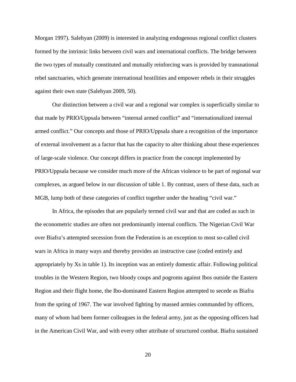Morgan 1997). Salehyan (2009) is interested in analyzing endogenous regional conflict clusters formed by the intrinsic links between civil wars and international conflicts. The bridge between the two types of mutually constituted and mutually reinforcing wars is provided by transnational rebel sanctuaries, which generate international hostilities and empower rebels in their struggles against their own state (Salehyan 2009, 50).

 Our distinction between a civil war and a regional war complex is superficially similar to that made by PRIO/Uppsala between "internal armed conflict" and "internationalized internal armed conflict." Our concepts and those of PRIO/Uppsala share a recognition of the importance of external involvement as a factor that has the capacity to alter thinking about these experiences of large-scale violence. Our concept differs in practice from the concept implemented by PRIO/Uppsala because we consider much more of the African violence to be part of regional war complexes, as argued below in our discussion of table 1. By contrast, users of these data, such as MGB, lump both of these categories of conflict together under the heading "civil war."

 In Africa, the episodes that are popularly termed civil war and that are coded as such in the econometric studies are often not predominantly internal conflicts. The Nigerian Civil War over Biafra's attempted secession from the Federation is an exception to most so-called civil wars in Africa in many ways and thereby provides an instructive case (coded entirely and appropriately by Xs in table 1). Its inception was an entirely domestic affair. Following political troubles in the Western Region, two bloody coups and pogroms against Ibos outside the Eastern Region and their flight home, the Ibo-dominated Eastern Region attempted to secede as Biafra from the spring of 1967. The war involved fighting by massed armies commanded by officers, many of whom had been former colleagues in the federal army, just as the opposing officers had in the American Civil War, and with every other attribute of structured combat. Biafra sustained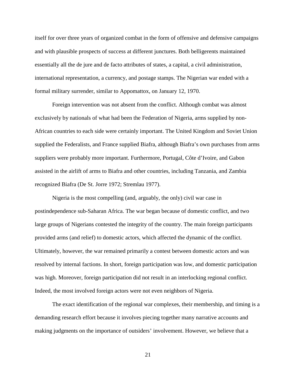itself for over three years of organized combat in the form of offensive and defensive campaigns and with plausible prospects of success at different junctures. Both belligerents maintained essentially all the de jure and de facto attributes of states, a capital, a civil administration, international representation, a currency, and postage stamps. The Nigerian war ended with a formal military surrender, similar to Appomattox, on January 12, 1970.

 Foreign intervention was not absent from the conflict. Although combat was almost exclusively by nationals of what had been the Federation of Nigeria, arms supplied by non-African countries to each side were certainly important. The United Kingdom and Soviet Union supplied the Federalists, and France supplied Biafra, although Biafra's own purchases from arms suppliers were probably more important. Furthermore, Portugal, Côte d'Ivoire, and Gabon assisted in the airlift of arms to Biafra and other countries, including Tanzania, and Zambia recognized Biafra (De St. Jorre 1972; Stremlau 1977).

Nigeria is the most compelling (and, arguably, the only) civil war case in postindependence sub-Saharan Africa. The war began because of domestic conflict, and two large groups of Nigerians contested the integrity of the country. The main foreign participants provided arms (and relief) to domestic actors, which affected the dynamic of the conflict. Ultimately, however, the war remained primarily a contest between domestic actors and was resolved by internal factions. In short, foreign participation was low, and domestic participation was high. Moreover, foreign participation did not result in an interlocking regional conflict. Indeed, the most involved foreign actors were not even neighbors of Nigeria.

The exact identification of the regional war complexes, their membership, and timing is a demanding research effort because it involves piecing together many narrative accounts and making judgments on the importance of outsiders' involvement. However, we believe that a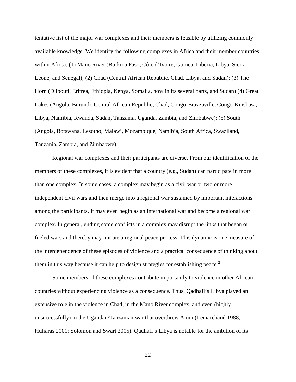tentative list of the major war complexes and their members is feasible by utilizing commonly available knowledge. We identify the following complexes in Africa and their member countries within Africa: (1) Mano River (Burkina Faso, Côte d'Ivoire, Guinea, Liberia, Libya, Sierra Leone, and Senegal); (2) Chad (Central African Republic, Chad, Libya, and Sudan); (3) The Horn (Djibouti, Eritrea, Ethiopia, Kenya, Somalia, now in its several parts, and Sudan) (4) Great Lakes (Angola, Burundi, Central African Republic, Chad, Congo-Brazzaville, Congo-Kinshasa, Libya, Namibia, Rwanda, Sudan, Tanzania, Uganda, Zambia, and Zimbabwe); (5) South (Angola, Botswana, Lesotho, Malawi, Mozambique, Namibia, South Africa, Swaziland, Tanzania, Zambia, and Zimbabwe).

Regional war complexes and their participants are diverse. From our identification of the members of these complexes, it is evident that a country (e.g., Sudan) can participate in more than one complex. In some cases, a complex may begin as a civil war or two or more independent civil wars and then merge into a regional war sustained by important interactions among the participants. It may even begin as an international war and become a regional war complex. In general, ending some conflicts in a complex may disrupt the links that began or fueled wars and thereby may initiate a regional peace process. This dynamic is one measure of the interdependence of these episodes of violence and a practical consequence of thinking about them in this way because it can help to design strategies for establishing peace.<sup>[2](#page-49-1)</sup>

Some members of these complexes contribute importantly to violence in other African countries without experiencing violence as a consequence. Thus, Qadhafi's Libya played an extensive role in the violence in Chad, in the Mano River complex, and even (highly unsuccessfully) in the Ugandan/Tanzanian war that overthrew Amin (Lemarchand 1988; Huliaras 2001; Solomon and Swart 2005). Qadhafi's Libya is notable for the ambition of its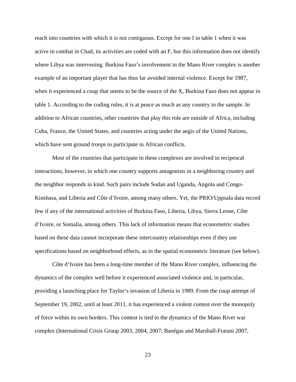reach into countries with which it is not contiguous. Except for one I in table 1 when it was active in combat in Chad, its activities are coded with an F, but this information does not identify where Libya was intervening. Burkina Faso's involvement in the Mano River complex is another example of an important player that has thus far avoided internal violence. Except for 1987, when it experienced a coup that seems to be the source of the X, Burkina Faso does not appear in table 1. According to the coding rules, it is at peace as much as any country in the sample. In addition to African countries, other countries that play this role are outside of Africa, including Cuba, France, the United States, and countries acting under the aegis of the United Nations, which have sent ground troops to participate in African conflicts.

Most of the countries that participate in these complexes are involved in reciprocal interactions, however, in which one country supports antagonists in a neighboring country and the neighbor responds in kind. Such pairs include Sudan and Uganda, Angola and Congo-Kinshasa, and Liberia and Côte d'Ivoire, among many others. Yet, the PRIO/Uppsala data record few if any of the international activities of Burkina Faso, Liberia, Libya, Sierra Leone, Côte d'Ivoire, or Somalia, among others. This lack of information means that econometric studies based on these data cannot incorporate these intercountry relationships even if they use specifications based on neighborhood effects, as in the spatial econometric literature (see below).

 Côte d'Ivoire has been a long-time member of the Mano River complex, influencing the dynamics of the complex well before it experienced associated violence and, in particular, providing a launching place for Taylor's invasion of Liberia in 1989. From the coup attempt of September 19, 2002, until at least 2011, it has experienced a violent contest over the monopoly of force within its own borders. This contest is tied to the dynamics of the Mano River war complex (International Crisis Group 2003, 2004, 2007; Banégas and Marshall-Fratani 2007,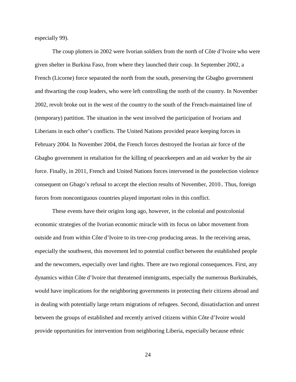especially 99).

 The coup plotters in 2002 were Ivorian soldiers from the north of Côte d'Ivoire who were given shelter in Burkina Faso, from where they launched their coup. In September 2002, a French (Licorne) force separated the north from the south, preserving the Gbagbo government and thwarting the coup leaders, who were left controlling the north of the country. In November 2002, revolt broke out in the west of the country to the south of the French-maintained line of (temporary) partition. The situation in the west involved the participation of Ivorians and Liberians in each other's conflicts. The United Nations provided peace keeping forces in February 2004. In November 2004, the French forces destroyed the Ivorian air force of the Gbagbo government in retaliation for the killing of peacekeepers and an aid worker by the air force. Finally, in 2011, French and United Nations forces intervened in the postelection violence consequent on Gbago's refusal to accept the election results of November, 2010.. Thus, foreign forces from noncontiguous countries played important roles in this conflict.

These events have their origins long ago, however, in the colonial and postcolonial economic strategies of the Ivorian economic miracle with its focus on labor movement from outside and from within Côte d'Ivoire to its tree-crop producing areas. In the receiving areas, especially the southwest, this movement led to potential conflict between the established people and the newcomers, especially over land rights. There are two regional consequences. First, any dynamics within Côte d'Ivoire that threatened immigrants, especially the numerous Burkinabés, would have implications for the neighboring governments in protecting their citizens abroad and in dealing with potentially large return migrations of refugees. Second, dissatisfaction and unrest between the groups of established and recently arrived citizens within Côte d'Ivoire would provide opportunities for intervention from neighboring Liberia, especially because ethnic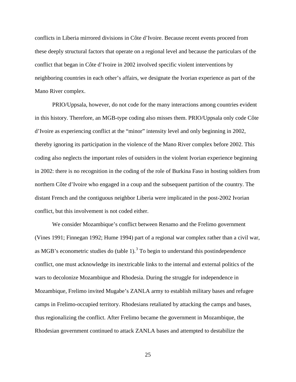conflicts in Liberia mirrored divisions in Côte d'Ivoire. Because recent events proceed from these deeply structural factors that operate on a regional level and because the particulars of the conflict that began in Côte d'Ivoire in 2002 involved specific violent interventions by neighboring countries in each other's affairs, we designate the Ivorian experience as part of the Mano River complex.

 PRIO/Uppsala, however, do not code for the many interactions among countries evident in this history. Therefore, an MGB-type coding also misses them. PRIO/Uppsala only code Côte d'Ivoire as experiencing conflict at the "minor" intensity level and only beginning in 2002, thereby ignoring its participation in the violence of the Mano River complex before 2002. This coding also neglects the important roles of outsiders in the violent Ivorian experience beginning in 2002: there is no recognition in the coding of the role of Burkina Faso in hosting soldiers from northern Côte d'Ivoire who engaged in a coup and the subsequent partition of the country. The distant French and the contiguous neighbor Liberia were implicated in the post-2002 Ivorian conflict, but this involvement is not coded either.

 We consider Mozambique's conflict between Renamo and the Frelimo government (Vines 1991; Finnegan 1992; Hume 1994) part of a regional war complex rather than a civil war, as MGB's econometric studies do (table 1).<sup>[3](#page-49-2)</sup> To begin to understand this postindependence conflict, one must acknowledge its inextricable links to the internal and external politics of the wars to decolonize Mozambique and Rhodesia. During the struggle for independence in Mozambique, Frelimo invited Mugabe's ZANLA army to establish military bases and refugee camps in Frelimo-occupied territory. Rhodesians retaliated by attacking the camps and bases, thus regionalizing the conflict. After Frelimo became the government in Mozambique, the Rhodesian government continued to attack ZANLA bases and attempted to destabilize the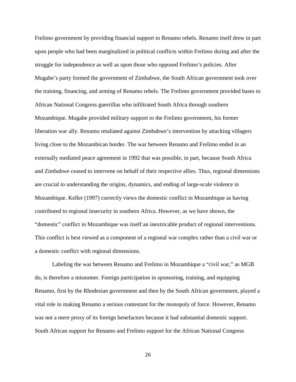Frelimo government by providing financial support to Renamo rebels. Renamo itself drew in part upon people who had been marginalized in political conflicts within Frelimo during and after the struggle for independence as well as upon those who opposed Frelimo's policies. After Mugabe's party formed the government of Zimbabwe, the South African government took over the training, financing, and arming of Renamo rebels. The Frelimo government provided bases to African National Congress guerrillas who infiltrated South Africa through southern Mozambique. Mugabe provided military support to the Frelimo government, his former liberation war ally. Renamo retaliated against Zimbabwe's intervention by attacking villagers living close to the Mozambican border. The war between Renamo and Frelimo ended in an externally mediated peace agreement in 1992 that was possible, in part, because South Africa and Zimbabwe ceased to intervene on behalf of their respective allies. Thus, regional dimensions are crucial to understanding the origins, dynamics, and ending of large-scale violence in Mozambique. Keller (1997) correctly views the domestic conflict in Mozambique as having contributed to regional insecurity in southern Africa. However, as we have shown, the "domestic" conflict in Mozambique was itself an inextricable product of regional interventions. This conflict is best viewed as a component of a regional war complex rather than a civil war or a domestic conflict with regional dimensions.

 Labeling the war between Renamo and Frelimo in Mozambique a "civil war," as MGB do, is therefore a misnomer. Foreign participation in sponsoring, training, and equipping Renamo, first by the Rhodesian government and then by the South African government, played a vital role in making Renamo a serious contestant for the monopoly of force. However, Renamo was not a mere proxy of its foreign benefactors because it had substantial domestic support. South African support for Renamo and Frelimo support for the African National Congress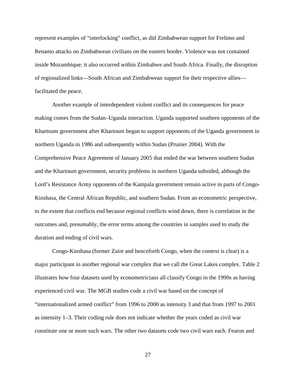represent examples of "interlocking" conflict, as did Zimbabwean support for Frelimo and Renamo attacks on Zimbabwean civilians on the eastern border. Violence was not contained inside Mozambique; it also occurred within Zimbabwe and South Africa. Finally, the disruption of regionalized links—South African and Zimbabwean support for their respective allies facilitated the peace.

 Another example of interdependent violent conflict and its consequences for peace making comes from the Sudan–Uganda interaction. Uganda supported southern opponents of the Khartoum government after Khartoum began to support opponents of the Uganda government in northern Uganda in 1986 and subsequently within Sudan (Prunier 2004). With the Comprehensive Peace Agreement of January 2005 that ended the war between southern Sudan and the Khartoum government, security problems in northern Uganda subsided, although the Lord's Resistance Army opponents of the Kampala government remain active in parts of Congo-Kinshasa, the Central African Republic, and southern Sudan. From an econometric perspective, to the extent that conflicts end because regional conflicts wind down, there is correlation in the outcomes and, presumably, the error terms among the countries in samples used to study the duration and ending of civil wars.

 Congo-Kinshasa (former Zaire and henceforth Congo, when the context is clear) is a major participant in another regional war complex that we call the Great Lakes complex. Table 2 illustrates how four datasets used by econometricians all classify Congo in the 1990s as having experienced civil war. The MGB studies code a civil war based on the concept of "internationalized armed conflict" from 1996 to 2000 as intensity 3 and that from 1997 to 2001 as intensity 1–3. Their coding rule does not indicate whether the years coded as civil war constitute one or more such wars. The other two datasets code two civil wars each. Fearon and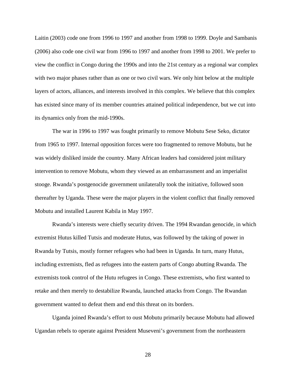Laitin (2003) code one from 1996 to 1997 and another from 1998 to 1999. Doyle and Sambanis (2006) also code one civil war from 1996 to 1997 and another from 1998 to 2001. We prefer to view the conflict in Congo during the 1990s and into the 21st century as a regional war complex with two major phases rather than as one or two civil wars. We only hint below at the multiple layers of actors, alliances, and interests involved in this complex. We believe that this complex has existed since many of its member countries attained political independence, but we cut into its dynamics only from the mid-1990s.

 The war in 1996 to 1997 was fought primarily to remove Mobutu Sese Seko, dictator from 1965 to 1997. Internal opposition forces were too fragmented to remove Mobutu, but he was widely disliked inside the country. Many African leaders had considered joint military intervention to remove Mobutu, whom they viewed as an embarrassment and an imperialist stooge. Rwanda's postgenocide government unilaterally took the initiative, followed soon thereafter by Uganda. These were the major players in the violent conflict that finally removed Mobutu and installed Laurent Kabila in May 1997.

Rwanda's interests were chiefly security driven. The 1994 Rwandan genocide, in which extremist Hutus killed Tutsis and moderate Hutus, was followed by the taking of power in Rwanda by Tutsis, mostly former refugees who had been in Uganda. In turn, many Hutus, including extremists, fled as refugees into the eastern parts of Congo abutting Rwanda. The extremists took control of the Hutu refugees in Congo. These extremists, who first wanted to retake and then merely to destabilize Rwanda, launched attacks from Congo. The Rwandan government wanted to defeat them and end this threat on its borders.

 Uganda joined Rwanda's effort to oust Mobutu primarily because Mobutu had allowed Ugandan rebels to operate against President Museveni's government from the northeastern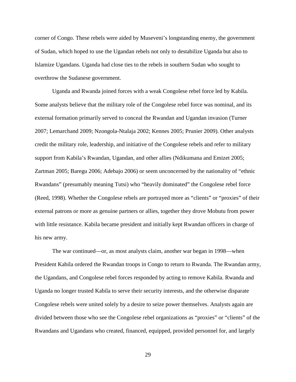corner of Congo. These rebels were aided by Museveni's longstanding enemy, the government of Sudan, which hoped to use the Ugandan rebels not only to destabilize Uganda but also to Islamize Ugandans. Uganda had close ties to the rebels in southern Sudan who sought to overthrow the Sudanese government.

Uganda and Rwanda joined forces with a weak Congolese rebel force led by Kabila. Some analysts believe that the military role of the Congolese rebel force was nominal, and its external formation primarily served to conceal the Rwandan and Ugandan invasion (Turner 2007; Lemarchand 2009; Nzongola-Ntalaja 2002; Kennes 2005; Prunier 2009). Other analysts credit the military role, leadership, and initiative of the Congolese rebels and refer to military support from Kabila's Rwandan, Ugandan, and other allies (Ndikumana and Emizet 2005; Zartman 2005; Baregu 2006; Adebajo 2006) or seem unconcerned by the nationality of "ethnic Rwandans" (presumably meaning Tutsi) who "heavily dominated" the Congolese rebel force (Reed, 1998). Whether the Congolese rebels are portrayed more as "clients" or "proxies" of their external patrons or more as genuine partners or allies, together they drove Mobutu from power with little resistance. Kabila became president and initially kept Rwandan officers in charge of his new army.

 The war continued—or, as most analysts claim, another war began in 1998—when President Kabila ordered the Rwandan troops in Congo to return to Rwanda. The Rwandan army, the Ugandans, and Congolese rebel forces responded by acting to remove Kabila. Rwanda and Uganda no longer trusted Kabila to serve their security interests, and the otherwise disparate Congolese rebels were united solely by a desire to seize power themselves. Analysts again are divided between those who see the Congolese rebel organizations as "proxies" or "clients" of the Rwandans and Ugandans who created, financed, equipped, provided personnel for, and largely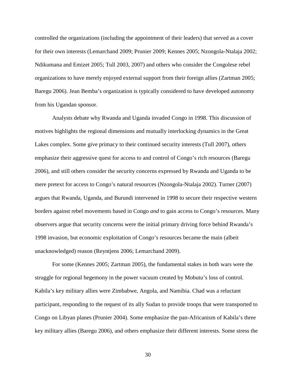controlled the organizations (including the appointment of their leaders) that served as a cover for their own interests (Lemarchand 2009; Prunier 2009; Kennes 2005; Nzongola-Ntalaja 2002; Ndikumana and Emizet 2005; Tull 2003, 2007) and others who consider the Congolese rebel organizations to have merely enjoyed external support from their foreign allies (Zartman 2005; Baregu 2006). Jean Bemba's organization is typically considered to have developed autonomy from his Ugandan sponsor.

 Analysts debate why Rwanda and Uganda invaded Congo in 1998. This discussion of motives highlights the regional dimensions and mutually interlocking dynamics in the Great Lakes complex. Some give primacy to their continued security interests (Tull 2007), others emphasize their aggressive quest for access to and control of Congo's rich resources (Baregu 2006), and still others consider the security concerns expressed by Rwanda and Uganda to be mere pretext for access to Congo's natural resources (Nzongola-Ntalaja 2002). Turner (2007) argues that Rwanda, Uganda, and Burundi intervened in 1998 to secure their respective western borders against rebel movements based in Congo *and* to gain access to Congo's resources. Many observers argue that security concerns were the initial primary driving force behind Rwanda's 1998 invasion, but economic exploitation of Congo's resources became the main (albeit unacknowledged) reason (Reyntjens 2006; Lemarchand 2009).

 For some (Kennes 2005; Zartman 2005), the fundamental stakes in both wars were the struggle for regional hegemony in the power vacuum created by Mobutu's loss of control. Kabila's key military allies were Zimbabwe, Angola, and Namibia. Chad was a reluctant participant, responding to the request of its ally Sudan to provide troops that were transported to Congo on Libyan planes (Prunier 2004). Some emphasize the pan-Africanism of Kabila's three key military allies (Baregu 2006), and others emphasize their different interests. Some stress the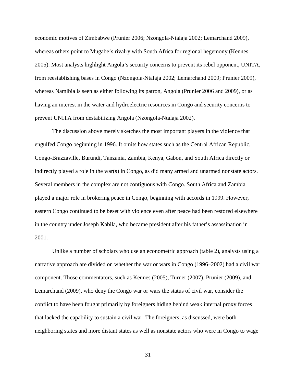economic motives of Zimbabwe (Prunier 2006; Nzongola-Ntalaja 2002; Lemarchand 2009), whereas others point to Mugabe's rivalry with South Africa for regional hegemony (Kennes 2005). Most analysts highlight Angola's security concerns to prevent its rebel opponent, UNITA, from reestablishing bases in Congo (Nzongola-Ntalaja 2002; Lemarchand 2009; Prunier 2009), whereas Namibia is seen as either following its patron, Angola (Prunier 2006 and 2009), or as having an interest in the water and hydroelectric resources in Congo and security concerns to prevent UNITA from destabilizing Angola (Nzongola-Ntalaja 2002).

 The discussion above merely sketches the most important players in the violence that engulfed Congo beginning in 1996. It omits how states such as the Central African Republic, Congo-Brazzaville, Burundi, Tanzania, Zambia, Kenya, Gabon, and South Africa directly or indirectly played a role in the war(s) in Congo, as did many armed and unarmed nonstate actors. Several members in the complex are not contiguous with Congo. South Africa and Zambia played a major role in brokering peace in Congo, beginning with accords in 1999. However, eastern Congo continued to be beset with violence even after peace had been restored elsewhere in the country under Joseph Kabila, who became president after his father's assassination in 2001.

 Unlike a number of scholars who use an econometric approach (table 2), analysts using a narrative approach are divided on whether the war or wars in Congo (1996–2002) had a civil war component. Those commentators, such as Kennes (2005), Turner (2007), Prunier (2009), and Lemarchand (2009), who deny the Congo war or wars the status of civil war, consider the conflict to have been fought primarily by foreigners hiding behind weak internal proxy forces that lacked the capability to sustain a civil war. The foreigners, as discussed, were both neighboring states and more distant states as well as nonstate actors who were in Congo to wage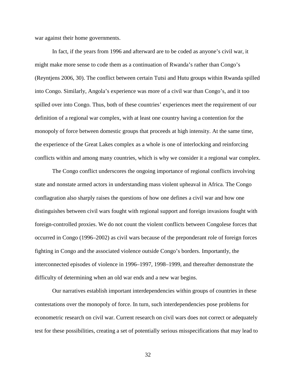war against their home governments.

In fact, if the years from 1996 and afterward are to be coded as anyone's civil war, it might make more sense to code them as a continuation of Rwanda's rather than Congo's (Reyntjens 2006, 30). The conflict between certain Tutsi and Hutu groups within Rwanda spilled into Congo. Similarly, Angola's experience was more of a civil war than Congo's, and it too spilled over into Congo. Thus, both of these countries' experiences meet the requirement of our definition of a regional war complex, with at least one country having a contention for the monopoly of force between domestic groups that proceeds at high intensity. At the same time, the experience of the Great Lakes complex as a whole is one of interlocking and reinforcing conflicts within and among many countries, which is why we consider it a regional war complex.

 The Congo conflict underscores the ongoing importance of regional conflicts involving state and nonstate armed actors in understanding mass violent upheaval in Africa. The Congo conflagration also sharply raises the questions of how one defines a civil war and how one distinguishes between civil wars fought with regional support and foreign invasions fought with foreign-controlled proxies. We do not count the violent conflicts between Congolese forces that occurred in Congo (1996–2002) as civil wars because of the preponderant role of foreign forces fighting in Congo and the associated violence outside Congo's borders. Importantly, the interconnected episodes of violence in 1996–1997, 1998–1999, and thereafter demonstrate the difficulty of determining when an old war ends and a new war begins.

 Our narratives establish important interdependencies within groups of countries in these contestations over the monopoly of force. In turn, such interdependencies pose problems for econometric research on civil war. Current research on civil wars does not correct or adequately test for these possibilities, creating a set of potentially serious misspecifications that may lead to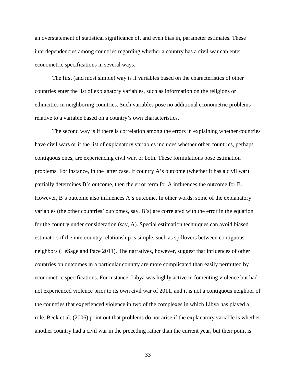an overstatement of statistical significance of, and even bias in, parameter estimates. These interdependencies among countries regarding whether a country has a civil war can enter econometric specifications in several ways.

The first (and most simple) way is if variables based on the characteristics of other countries enter the list of explanatory variables, such as information on the religions or ethnicities in neighboring countries. Such variables pose no additional econometric problems relative to a variable based on a country's own characteristics.

 The second way is if there is correlation among the errors in explaining whether countries have civil wars or if the list of explanatory variables includes whether other countries, perhaps contiguous ones, are experiencing civil war, or both. These formulations pose estimation problems. For instance, in the latter case, if country A's outcome (whether it has a civil war) partially determines B's outcome, then the error term for A influences the outcome for B. However, B's outcome also influences A's outcome. In other words, some of the explanatory variables (the other countries' outcomes, say, B's) are correlated with the error in the equation for the country under consideration (say, A). Special estimation techniques can avoid biased estimators if the intercountry relationship is simple, such as spillovers between contiguous neighbors (LeSage and Pace 2011). The narratives, however, suggest that influences of other countries on outcomes in a particular country are more complicated than easily permitted by econometric specifications. For instance, Libya was highly active in fomenting violence but had not experienced violence prior to its own civil war of 2011, and it is not a contiguous neighbor of the countries that experienced violence in two of the complexes in which Libya has played a role. Beck et al. (2006) point out that problems do not arise if the explanatory variable is whether another country had a civil war in the preceding rather than the current year, but their point is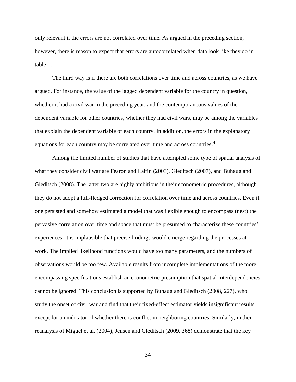only relevant if the errors are not correlated over time. As argued in the preceding section, however, there is reason to expect that errors are autocorrelated when data look like they do in table 1.

 The third way is if there are both correlations over time and across countries, as we have argued. For instance, the value of the lagged dependent variable for the country in question, whether it had a civil war in the preceding year, and the contemporaneous values of the dependent variable for other countries, whether they had civil wars, may be among the variables that explain the dependent variable of each country. In addition, the errors in the explanatory equations for each country may be correlated over time and across countries.<sup>[4](#page-49-3)</sup>

 Among the limited number of studies that have attempted some type of spatial analysis of what they consider civil war are Fearon and Laitin (2003), Gleditsch (2007), and Buhaug and Gleditsch (2008). The latter two are highly ambitious in their econometric procedures, although they do not adopt a full-fledged correction for correlation over time and across countries. Even if one persisted and somehow estimated a model that was flexible enough to encompass (nest) the pervasive correlation over time and space that must be presumed to characterize these countries' experiences, it is implausible that precise findings would emerge regarding the processes at work. The implied likelihood functions would have too many parameters, and the numbers of observations would be too few. Available results from incomplete implementations of the more encompassing specifications establish an econometric presumption that spatial interdependencies cannot be ignored. This conclusion is supported by Buhaug and Gleditsch (2008, 227), who study the onset of civil war and find that their fixed-effect estimator yields insignificant results except for an indicator of whether there is conflict in neighboring countries. Similarly, in their reanalysis of Miguel et al. (2004), Jensen and Gleditsch (2009, 368) demonstrate that the key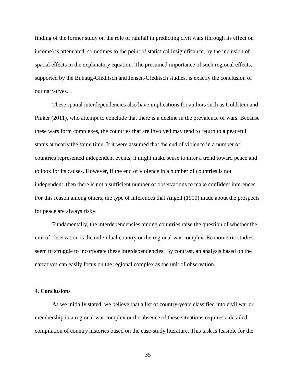finding of the former study on the role of rainfall in predicting civil wars (through its effect on income) is attenuated, sometimes to the point of statistical insignificance, by the inclusion of spatial effects in the explanatory equation. The presumed importance of such regional effects, supported by the Buhaug-Gleditsch and Jensen-Gleditsch studies, is exactly the conclusion of our narratives.

 These spatial interdependencies also have implications for authors such as Goldstein and Pinker (2011), who attempt to conclude that there is a decline in the prevalence of wars. Because these wars form complexes, the countries that are involved may tend to return to a peaceful status at nearly the same time. If it were assumed that the end of violence in a number of countries represented independent events, it might make sense to infer a trend toward peace and to look for its causes. However, if the end of violence in a number of countries is not independent, then there is not a sufficient number of observations to make confident inferences. For this reason among others, the type of inferences that Angell (1910) made about the prospects for peace are always risky.

 Fundamentally, the interdependencies among countries raise the question of whether the unit of observation is the individual country or the regional war complex. Econometric studies seem to struggle to incorporate these interdependencies. By contrast, an analysis based on the narratives can easily focus on the regional complex as the unit of observation.

#### **4. Conclusions**

As we initially stated, we believe that a list of country-years classified into civil war or membership in a regional war complex or the absence of these situations requires a detailed compilation of country histories based on the case-study literature. This task is feasible for the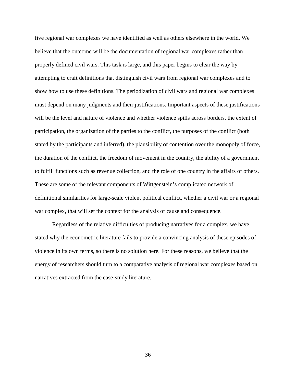five regional war complexes we have identified as well as others elsewhere in the world. We believe that the outcome will be the documentation of regional war complexes rather than properly defined civil wars. This task is large, and this paper begins to clear the way by attempting to craft definitions that distinguish civil wars from regional war complexes and to show how to use these definitions. The periodization of civil wars and regional war complexes must depend on many judgments and their justifications. Important aspects of these justifications will be the level and nature of violence and whether violence spills across borders, the extent of participation, the organization of the parties to the conflict, the purposes of the conflict (both stated by the participants and inferred), the plausibility of contention over the monopoly of force, the duration of the conflict, the freedom of movement in the country, the ability of a government to fulfill functions such as revenue collection, and the role of one country in the affairs of others. These are some of the relevant components of Wittgenstein's complicated network of definitional similarities for large-scale violent political conflict, whether a civil war or a regional war complex, that will set the context for the analysis of cause and consequence.

Regardless of the relative difficulties of producing narratives for a complex, we have stated why the econometric literature fails to provide a convincing analysis of these episodes of violence in its own terms, so there is no solution here. For these reasons, we believe that the energy of researchers should turn to a comparative analysis of regional war complexes based on narratives extracted from the case-study literature.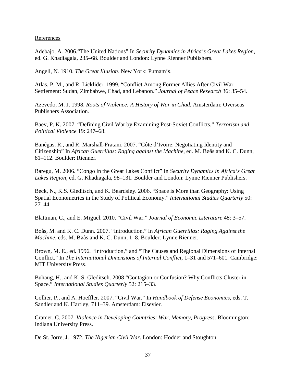#### References

Adebajo, A. 2006."The United Nations" In *Security Dynamics in Africa's Great Lakes Region*, ed. G. Khadiagala, 235–68. Boulder and London: Lynne Rienner Publishers.

Angell, N. 1910. *The Great Illusion*. New York: Putnam's.

Atlas, P. M., and R. Licklider. 1999. "Conflict Among Former Allies After Civil War Settlement: Sudan, Zimbabwe, Chad, and Lebanon." *Journal of Peace Research* 36: 35–54.

Azevedo, M. J. 1998. *Roots of Violence: A History of War in Chad.* Amsterdam: Overseas Publishers Association.

Baev, P. K. 2007. "Defining Civil War by Examining Post-Soviet Conflicts." *Terrorism and Political Violence* 19: 247–68.

Banégas, R., and R. Marshall-Fratani. 2007. "Côte d'Ivoire: Negotiating Identity and Citizenship" In *African Guerrillas: Raging against the Machine*, ed. M. Bøås and K. C. Dunn, 81–112. Boulder: Rienner.

Baregu, M. 2006. "Congo in the Great Lakes Conflict" In *Security Dynamics in Africa's Great Lakes Region,* ed. G. Khadiagala, 98–131. Boulder and London: Lynne Rienner Publishers.

Beck, N., K.S. Gleditsch, and K. Beardsley. 2006. "Space is More than Geography: Using Spatial Econometrics in the Study of Political Economy." *International Studies Quarterly* 50: 27–44.

Blattman, C., and E. Miguel. 2010. "Civil War." *Journal of Economic Literature* 48: 3–57.

Bøås, M. and K. C. Dunn. 2007. "Introduction." In *African Guerrillas: Raging Against the Machine,* eds. M. Bøås and K. C. Dunn, 1–8. Boulder: Lynne Rienner.

Brown, M. E., ed. 1996. "Introduction," and "The Causes and Regional Dimensions of Internal Conflict." In *The International Dimensions of Internal Conflict*, 1–31 and 571–601*.* Cambridge: MIT University Press.

Buhaug, H., and K. S. Gleditsch. 2008 "Contagion or Confusion? Why Conflicts Cluster in Space." *International Studies Quarterly* 52: 215–33.

Collier, P., and A. Hoeffler. 2007. "Civil War." In *Handbook of Defense Economics*, eds. T. Sandler and K. Hartley, 711–39. Amsterdam: Elsevier.

Cramer, C. 2007. *Violence in Developing Countries: War, Memory, Progress*. Bloomington: Indiana University Press.

De St. Jorre, J. 1972. *The Nigerian Civil War*. London: Hodder and Stoughton.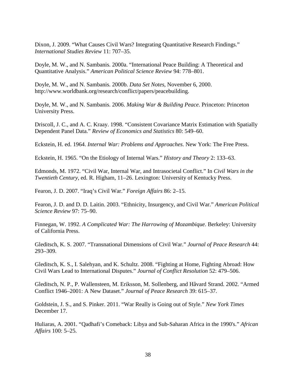Dixon, J. 2009. "What Causes Civil Wars? Integrating Quantitative Research Findings." *International Studies Review* 11: 707–35.

Doyle, M. W., and N. Sambanis. 2000a. "International Peace Building: A Theoretical and Quantitative Analysis." *American Political Science Review* 94: 778–801.

Doyle, M. W., and N. Sambanis. 2000b. *Data Set Notes*, November 6, 2000. [http://www.worldbank.org/research/conflict/papers/peacebuilding.](http://www.worldbank.org/research/conflict/papers/peacebuilding)

Doyle, M. W., and N. Sambanis. 2006. *Making War & Building Peace*. Princeton: Princeton University Press.

Driscoll, J. C., and A. C. Kraay. 1998. "Consistent Covariance Matrix Estimation with Spatially Dependent Panel Data." *Review of Economics and Statistics* 80: 549–60.

Eckstein, H. ed. 1964. *Internal War: Problems and Approaches*. New York: The Free Press.

Eckstein, H. 1965. "On the Etiology of Internal Wars." *History and Theory* 2: 133–63.

Edmonds, M. 1972. "Civil War, Internal War, and Intrasocietal Conflict." In *Civil Wars in the Twentieth Century*, ed. R. Higham, 11–26. Lexington: University of Kentucky Press.

Fearon, J. D. 2007. "Iraq's Civil War." *Foreign Affairs* 86: 2–15.

Fearon, J. D. and D. D. Laitin. 2003. "Ethnicity, Insurgency, and Civil War." *American Political Science Review* 97: 75–90.

Finnegan, W. 1992. *A Complicated War: The Harrowing of Mozambique*. Berkeley: University of California Press.

Gleditsch, K. S. 2007. "Transnational Dimensions of Civil War." *Journal of Peace Research* 44: 293–309.

Gleditsch, K. S., I. Salehyan, and K. Schultz. 2008. "Fighting at Home, Fighting Abroad: How Civil Wars Lead to International Disputes." *Journal of Conflict Resolution* 52: 479–506.

Gleditsch, N. P., [P. Wallensteen,](http://jpr.sagepub.com/search?author1=PETER+WALLENSTEEN&sortspec=date&submit=Submit) [M. Eriksson,](http://jpr.sagepub.com/search?author1=MIKAEL+ERIKSSON&sortspec=date&submit=Submit) M. Sollenberg, and [Håvard](http://jpr.sagepub.com/search?author1=H%C3%85VARD+STRAND&sortspec=date&submit=Submit) Strand*.* 2002. "Armed Conflict 1946–2001: A New Dataset." *Journal of Peace Research* 39: 615–37.

Goldstein, J. S., and S. Pinker. 2011. "War Really is Going out of Style." *New York Times* December 17.

Huliaras, A. 2001. "Qadhafi's Comeback: Libya and Sub-Saharan Africa in the 1990's." *African Affairs* 100: 5–25.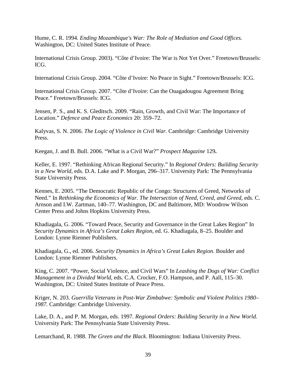Hume, C. R. 1994. *Ending Mozambique's War: The Role of Mediation and Good Offices.* Washington, DC: United States Institute of Peace.

International Crisis Group. 2003). "Côte d'Ivoire: The War is Not Yet Over." Freetown/Brussels: ICG.

International Crisis Group. 2004. "Côte d'Ivoire: No Peace in Sight." Freetown/Brussels: ICG.

International Crisis Group. 2007. "Côte d'Ivoire: Can the Ouagadougou Agreement Bring Peace." Freetown/Brussels: ICG.

Jensen, P. S., and K. S. Gleditsch. 2009. "Rain, Growth, and Civil War: The Importance of Location." *Defence and Peace Economics* 20: 359–72.

Kalyvas, S. N. 2006. *The Logic of Violence in Civil War.* Cambridge: Cambridge University Press.

Keegan, J. and B. Bull. 2006. "What is a Civil War?" *Prospect Magazine* 129**.**

Keller, E. 1997. "Rethinking African Regional Security." In *Regional Orders: Building Security in a New World*, eds. D.A. Lake and P. Morgan, 296–317. University Park: The Pennsylvania State University Press.

Kennes, E. 2005. "The Democratic Republic of the Congo: Structures of Greed, Networks of Need." In *Rethinking the Economics of War. The Intersection of Need, Creed, and Greed*, eds. C. Arnson and I.W. Zartman, 140–77. Washington, DC and Baltimore, MD: Woodrow Wilson Center Press and Johns Hopkins University Press.

Khadiagala, G. 2006. "Toward Peace, Security and Governance in the Great Lakes Region" In *Security Dynamics in Africa's Great Lakes Region*, ed. G. Khadiagala, 8–25. Boulder and London: Lynne Rienner Publishers.

Khadiagala, G., ed. 2006. *Security Dynamics in Africa's Great Lakes Region*. Boulder and London: Lynne Rienner Publishers.

King, C. 2007. "Power, Social Violence, and Civil Wars" In *Leashing the Dogs of War: Conflict Management in a Divided World*, eds. C.A. Crocker, F.O. Hampson, and P. Aall, 115–30. Washington, DC: United States Institute of Peace Press.

Kriger, N. 203. *Guerrilla Veterans in Post-War Zimbabwe: Symbolic and Violent Politics 1980– 1987.* Cambridge: Cambridge University.

Lake, D. A., and P. M. Morgan, eds. 1997. *Regional Orders: Building Security in a New World.* University Park: The Pennsylvania State University Press.

Lemarchand, R. 1988. *The Green and the Black*. Bloomington: Indiana University Press.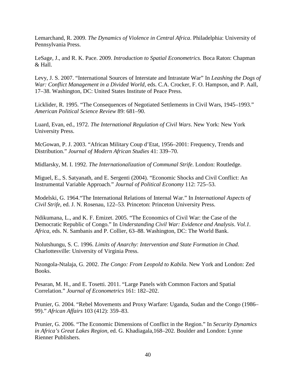Lemarchand, R. 2009. *The Dynamics of Violence in Central Africa*. Philadelphia: University of Pennsylvania Press.

LeSage, J., and R. K. Pace. 2009. *Introduction to Spatial Econometrics.* Boca Raton: Chapman & Hall.

Levy, J. S. 2007. "International Sources of Interstate and Intrastate War" In *Leashing the Dogs of War: Conflict Management in a Divided World,* eds. C.A. Crocker, F. O. Hampson, and P. Aall, 17–38. Washington, DC: United States Institute of Peace Press.

Licklider, R. 1995. "The Consequences of Negotiated Settlements in Civil Wars, 1945–1993." *American Political Science Review* 89: 681–90.

Luard, Evan, ed., 1972. *The International Regulation of Civil Wars*. New York: New York University Press.

McGowan, P. J. 2003. "African Military Coup d'Etat, 1956–2001: Frequency, Trends and Distribution." *Journal of Modern African Studies* 41: 339–70.

Midlarsky, M. I. 1992. *The Internationalization of Communal Strife*. London: Routledge.

Miguel, E., S. Satyanath, and E. Sergenti (2004). "Economic Shocks and Civil Conflict: An Instrumental Variable Approach." *Journal of Political Economy* 112: 725–53.

Modelski, G. 1964."The International Relations of Internal War." In *International Aspects of Civil Strife*, ed. J. N. Rosenau, 122–53. Princeton: Princeton University Press.

Ndikumana, L., and K. F. Emizet. 2005. "The Economics of Civil War: the Case of the Democratic Republic of Congo." In *Understanding Civil War: Evidence and Analysis*. *Vol.1. Africa,* eds. N. Sambanis and P. Collier, 63–88. Washington, DC: The World Bank.

Nolutshungu, S. C. 1996. *Limits of Anarchy: Intervention and State Formation in Chad.* Charlottesville: University of Virginia Press.

Nzongola-Ntalaja, G. 2002. *The Congo: From Leopold to Kabila*. New York and London: Zed Books.

Pesaran, M. H., and E. Tosetti. 2011. "Large Panels with Common Factors and Spatial Correlation." *Journal of Econometrics* 161: 182–202.

Prunier, G. 2004. "Rebel Movements and Proxy Warfare: Uganda, Sudan and the Congo (1986– 99)." *African Affairs* 103 (412): 359–83.

Prunier, G. 2006. "The Economic Dimensions of Conflict in the Region." In *Security Dynamics in Africa's Great Lakes Region,* ed. G. Khadiagala,168–202. Boulder and London: Lynne Rienner Publishers.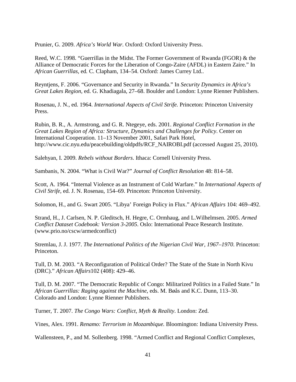Prunier, G. 2009. *Africa's World War.* Oxford: Oxford University Press.

Reed, W.C. 1998. "Guerrillas in the Midst. The Former Government of Rwanda (FGOR) & the Alliance of Democratic Forces for the Liberation of Congo-Zaire (AFDL) in Eastern Zaire." In *African Guerrillas,* ed*.* C. Clapham, 134–54. Oxford: James Currey Ltd..

Reyntjens, F. 2006. "Governance and Security in Rwanda." In *Security Dynamics in Africa's Great Lakes Region*, ed. G. Khadiagala, 27–68. Boulder and London: Lynne Rienner Publishers.

Rosenau, J. N., ed. 1964. *International Aspects of Civil Strife.* Princeton: Princeton University Press.

Rubin, B. R., A. Armstrong, and G. R. Ntegeye, eds. 2001. *Regional Conflict Formation in the Great Lakes Region of Africa: Structure, Dynamics and Challenges for Policy*. Center on International Cooperation. 11–13 November 2001, Safari Park Hotel, http://www.cic.nyu.edu/peacebuilding/oldpdfs/RCF\_NAIROBI.pdf (accessed August 25, 2010).

Salehyan, I. 2009. *Rebels without Borders*. Ithaca: Cornell University Press.

Sambanis, N. 2004. "What is Civil War?" *Journal of Conflict Resolution* 48: 814–58.

Scott, A. 1964. "Internal Violence as an Instrument of Cold Warfare." In *International Aspects of Civil Strife*, ed. J. N. Rosenau, 154–69. Princeton: Princeton University.

Solomon, H., and G. Swart 2005. "Libya' Foreign Policy in Flux." *African Affairs* 104: 469–492.

Strand, H., J. Carlsen, N. P. Gleditsch, H. Hegre, C. Ormhaug, and L.Wilhelmsen. 2005. *Armed Conflict Dataset Codebook: Version 3-2005*. Oslo: International Peace Research Institute. [\(www.prio.no/cscw/armedconflict\)](http://www.prio.no/cscw/armedconflict.)

Stremlau, J. J. 1977. *The International Politics of the Nigerian Civil War, 1967–1970*. Princeton: Princeton.

Tull, D. M. 2003. "A Reconfiguration of Political Order? The State of the State in North Kivu (DRC)." *African Affairs*102 (408): 429–46.

Tull, D. M. 2007. "The Democratic Republic of Congo: Militarized Politics in a Failed State." In *African Guerrillas: Raging against the Machine*, eds. M. Bøås and K.C. Dunn, 113–30. Colorado and London: Lynne Rienner Publishers.

Turner, T. 2007. *The Congo Wars: Conflict, Myth & Reality*. London: Zed.

Vines, Alex. 1991. *Renamo: Terrorism in Mozambique.* Bloomington: Indiana University Press.

Wallensteen, P., and M. Sollenberg. 1998. "Armed Conflict and Regional Conflict Complexes,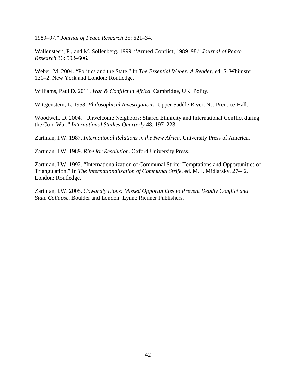1989–97." *Journal of Peace Research* 35: 621–34.

Wallensteen, P., and M. Sollenberg. 1999. "Armed Conflict, 1989–98." *Journal of Peace Research* 36: 593–606.

Weber, M. 2004. "Politics and the State." In *The Essential Weber: A Reader*, ed. S. Whimster, 131–2. New York and London: Routledge.

Williams, Paul D. 2011. *War & Conflict in Africa.* Cambridge, UK: Polity.

Wittgenstein, L. 1958. *Philosophical Investigations*. Upper Saddle River, NJ: Prentice-Hall.

Woodwell, D. 2004. "Unwelcome Neighbors: Shared Ethnicity and International Conflict during the Cold War." *International Studies Quarterly* 48: 197–223.

Zartman, I.W. 1987. *International Relations in the New Africa.* University Press of America.

Zartman, I.W. 1989. *Ripe for Resolution*. Oxford University Press.

Zartman, I.W. 1992. "Internationalization of Communal Strife: Temptations and Opportunities of Triangulation." In *The Internationalization of Communal Strife,* ed. M. I. Midlarsky, 27–42. London: Routledge.

Zartman, I.W. 2005. *Cowardly Lions: Missed Opportunities to Prevent Deadly Conflict and State Collapse*. Boulder and London: Lynne Rienner Publishers.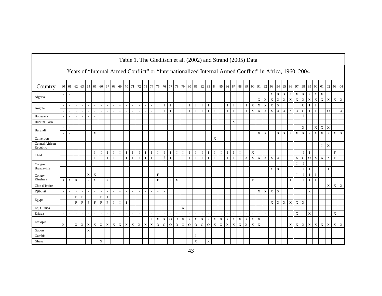|                             |    |                  |              |             |             |                           |                           |                          |                          |              |                           |                           |             |                                               |                           |                          |              |              |              |              |                                                                                                                                           |                |              |                |                           |              | Table 1. The Gleditsch et al. (2002) and Strand (2005) Data |              |             |             |             |             |                     |                |             |             |                                                                                                          |                                   |                |              |              |                                 |                           |                                                        |             |
|-----------------------------|----|------------------|--------------|-------------|-------------|---------------------------|---------------------------|--------------------------|--------------------------|--------------|---------------------------|---------------------------|-------------|-----------------------------------------------|---------------------------|--------------------------|--------------|--------------|--------------|--------------|-------------------------------------------------------------------------------------------------------------------------------------------|----------------|--------------|----------------|---------------------------|--------------|-------------------------------------------------------------|--------------|-------------|-------------|-------------|-------------|---------------------|----------------|-------------|-------------|----------------------------------------------------------------------------------------------------------|-----------------------------------|----------------|--------------|--------------|---------------------------------|---------------------------|--------------------------------------------------------|-------------|
|                             |    |                  |              |             |             |                           |                           |                          |                          |              |                           |                           |             |                                               |                           |                          |              |              |              |              |                                                                                                                                           |                |              |                |                           |              |                                                             |              |             |             |             |             |                     |                |             |             | Years of "Internal Armed Conflict" or "Internationalized Internal Armed Conflict" in Africa, 1960–2004   |                                   |                |              |              |                                 |                           |                                                        |             |
| Country                     |    | 60 61 62 63 64   |              |             |             | 65                        |                           |                          |                          |              |                           |                           |             |                                               |                           |                          |              |              |              |              |                                                                                                                                           |                |              |                |                           |              |                                                             |              |             |             |             |             |                     |                |             |             | 60 69 69 69 70 71 72 73 74 75 76 77 78 79 80 81 82 83 84 85 86 87 88 89 90 91 92 93 94 95 96 97 98 99 00 |                                   |                |              |              |                                 |                           | 01 02 03 04                                            |             |
| Algeria                     |    | $\sim$           |              |             |             |                           |                           |                          |                          |              |                           |                           |             |                                               |                           |                          |              |              |              |              |                                                                                                                                           |                |              |                |                           |              |                                                             |              |             |             |             |             |                     |                |             |             | $X$ $X$ $X$ $X$ $X$ $X$ $X$<br>$X$ $X$ $X$ $X$ $X$ $X$ $X$ $X$ $X$                                       |                                   |                |              |              | $\mathbf{X}$<br>$X$ $X$ $X$ $X$ |                           |                                                        |             |
| Angola                      |    |                  | $\sim$       | $\sim$      | $\sim$      | $\sim$                    | ÷.                        | $\overline{\phantom{a}}$ | ÷.                       | $\sim$       | $\sim$                    | $\sim$                    | ×.          | $\omega$                                      | $\sim$                    | <b>I</b>                 | $\mathbf{I}$ | $\mathbf{I}$ | $\mathbf I$  | $\mathbf I$  | $\mathbf{I}$                                                                                                                              | $\mathbf{I}$   | <b>I</b>     | $\mathbf{I}$   | $\mathbf{I}$              | $\mathbf{I}$ | <b>I</b>                                                    | $\mathbf{I}$ | $\bf{I}$    | <b>I</b>    | $\mathbf X$ | X           | $\mathbf X$         | $\mathbf X$    | $\mathbf X$ |             |                                                                                                          |                                   | $\Omega$       | $\mathbf{I}$ | $\mathbf{I}$ | $\mathbf{I}$                    |                           |                                                        |             |
|                             |    |                  | ÷.           |             |             | $\sim$                    | $\sim$                    |                          | ÷.                       |              |                           |                           |             |                                               |                           | T                        | $\mathbf I$  | $\mathbf{I}$ | $\mathbf{I}$ |              |                                                                                                                                           |                | $\mathbf{I}$ |                |                           |              |                                                             |              |             |             | $\mathbf X$ | X           | $\mathbf X$         | X              |             | $X$ $X$ $X$ |                                                                                                          | $\overline{O}$                    | $\overline{O}$ | $\mathbf{I}$ | $\mathbf I$  | <b>I</b>                        | $\overline{a}$            |                                                        | $\mathbf X$ |
| Botswana                    | ÷. | $\sim$           | $\sim$       | $\sim$      | $\sim$      | $\overline{\phantom{a}}$  |                           |                          |                          |              |                           |                           |             |                                               |                           |                          |              |              |              |              |                                                                                                                                           |                |              |                |                           |              |                                                             |              |             |             |             |             |                     |                |             |             |                                                                                                          |                                   | -1             |              |              |                                 |                           |                                                        |             |
| <b>Burkina Faso</b>         |    |                  |              |             |             |                           |                           |                          |                          |              |                           |                           |             |                                               |                           |                          |              |              |              |              |                                                                                                                                           |                |              |                |                           |              |                                                             | X            |             |             |             |             |                     |                |             |             |                                                                                                          |                                   |                |              |              |                                 |                           |                                                        |             |
| Burundi                     |    | ×.               |              |             |             |                           |                           |                          |                          |              |                           |                           |             |                                               |                           |                          |              |              |              |              |                                                                                                                                           |                |              |                |                           |              |                                                             |              |             |             |             |             |                     |                |             |             |                                                                                                          |                                   | $\mathbf X$    |              | $\mathbf X$  | $X$ $X$                         |                           |                                                        |             |
|                             |    | in 1919.         |              |             |             | $\mathbf X$               |                           |                          |                          |              |                           |                           |             |                                               |                           |                          |              |              |              |              |                                                                                                                                           |                |              |                |                           |              |                                                             |              |             |             |             | $X \mid X$  |                     |                |             | $X$ $X$ $X$ |                                                                                                          | $\mathbf{X} \parallel \mathbf{X}$ |                | $\mathbf X$  | $\bold{X}$   | X                               | $\mathbf{X}$              |                                                        | $X$ $X$     |
| Cameroon                    |    |                  |              |             |             |                           |                           |                          |                          |              |                           |                           |             |                                               |                           |                          |              |              |              |              |                                                                                                                                           |                |              |                | $\boldsymbol{\mathrm{X}}$ |              |                                                             |              |             |             |             |             |                     |                |             |             |                                                                                                          |                                   |                |              |              |                                 |                           |                                                        |             |
| Central African<br>Republic |    |                  |              |             |             |                           |                           |                          |                          |              |                           |                           |             |                                               |                           |                          |              |              |              |              |                                                                                                                                           |                |              |                |                           |              |                                                             |              |             |             |             |             |                     |                |             |             |                                                                                                          |                                   |                |              |              | $\mathbf I$                     | $\boldsymbol{\mathrm{X}}$ |                                                        |             |
| Chad                        |    |                  |              |             |             | $\mathbf I$               | $\;$ I                    | $\mathbf{I}$             | $\bf{I}$                 | $\bf{I}$     | I                         | $\mathbf I$               | $\bf{I}$    | $\begin{array}{c c c c} \hline \end{array}$ I |                           |                          |              |              |              |              | $\begin{array}{c c c c c c c c} \hline \textbf{I} & \textbf{I} & \textbf{I} & \textbf{I} & \textbf{I} & \textbf{I} \\ \hline \end{array}$ |                | $I \mid I$   | $\mathbf{I}$   | $\mathbf{I}$              | $\perp$      | $\bf{I}$                                                    | I            | <b>I</b>    |             | $\mathbf X$ |             |                     |                |             |             |                                                                                                          |                                   | $\mathbf I$    | $\mathbf{I}$ |              |                                 |                           | $\mathbf F$                                            |             |
|                             |    |                  |              |             |             | $\mathbf{I}$              | $\mathbf{I}$              | $\mathbf I$              | $\mathbf I$              | $\mathbf{I}$ | $\mathbf{I}$              | $\mathbf I$               | $\mathbf I$ | $\mathbf I$                                   | $\mathbf{I}$              | $\mathbf I$              | $\mathbf{I}$ |              | I/I          | $\mathbf{I}$ | $\mathbf I$                                                                                                                               | $\mathbf{I}$   | $\mathbf I$  | $\mathbf{I}$   | $\mathbf I$               | $\mathbf{I}$ | $\mathbf I$                                                 | $\mathbf{I}$ | $\mathbf I$ |             |             |             | $X$ $X$ $X$ $X$ $X$ |                |             |             |                                                                                                          | X <sub>0</sub>                    |                | $\circ$      | $\mathbf{x}$ | $X$ $X$                         |                           | $\rm F$                                                |             |
| Congo-                      |    |                  |              |             |             |                           |                           |                          |                          |              |                           |                           |             |                                               |                           |                          |              |              |              |              |                                                                                                                                           |                |              |                |                           |              |                                                             |              |             |             |             |             |                     |                |             |             |                                                                                                          | $\mathbf I$                       | $\mathbf I$    |              |              |                                 |                           |                                                        |             |
| Brazzaville                 |    |                  |              |             |             |                           |                           |                          |                          |              |                           |                           |             |                                               |                           |                          |              |              |              |              |                                                                                                                                           |                |              |                |                           |              |                                                             |              |             |             |             |             |                     | $X$   $X$      |             |             |                                                                                                          | $\mathbf{I}$                      | $\mathbf{I}$   | $\mathbf{I}$ |              |                                 | $\mathbf I$               |                                                        |             |
| Congo-                      |    |                  |              |             | $\mathbf X$ | $\boldsymbol{\mathrm{X}}$ |                           |                          |                          |              |                           |                           |             |                                               |                           | $\mathbf F$              |              |              |              |              |                                                                                                                                           |                |              |                |                           |              |                                                             |              |             |             |             |             |                     |                |             |             |                                                                                                          | $\mathbf{I}$                      | $\mathbf{I}$   | $\mathbf{I}$ | $\mathbf I$  |                                 |                           |                                                        |             |
| Kinshasa                    | X  | $\boldsymbol{X}$ | $\mathbf{X}$ |             | X           | $\boldsymbol{\mathrm{X}}$ |                           | X                        |                          |              |                           |                           |             |                                               |                           | $\mathbf{F}$             |              |              | $X \mid X$   |              |                                                                                                                                           |                |              |                |                           |              |                                                             |              |             |             | $\mathbf F$ |             |                     |                |             |             | $\bf{I}$                                                                                                 | $\mathbf{I}$                      | $\bf{I}$       | $\mathbf{I}$ | $\mathbf I$  | $\mathbf{I}$                    |                           |                                                        |             |
| Côte d'Ivoire               |    |                  |              |             |             |                           |                           |                          |                          |              |                           |                           |             |                                               |                           |                          |              |              |              |              |                                                                                                                                           |                |              |                |                           |              |                                                             |              |             |             |             |             |                     |                |             |             |                                                                                                          |                                   |                |              |              |                                 |                           | $\mathbf{X} \parallel \mathbf{X} \parallel \mathbf{X}$ |             |
| Djibouti                    |    |                  | $\sim$       |             |             | $\sim$                    | $\overline{\phantom{a}}$  | ÷.                       | $\overline{\phantom{a}}$ | ÷.           | $\sim$                    | ÷.                        | $\sim$      | $\sim$                                        | $\sim$                    | $\overline{\phantom{a}}$ | $\sim$       |              |              |              |                                                                                                                                           |                |              |                |                           |              |                                                             |              |             |             |             |             | $X$ $X$             | $X \mid X$     |             |             |                                                                                                          |                                   |                | $\mathbf X$  |              |                                 |                           |                                                        |             |
|                             |    |                  | $\mathbf F$  | $\mathbf F$ | $\mathbf F$ |                           | $\mathbf F$               | I                        |                          |              |                           |                           |             |                                               |                           |                          |              |              |              |              |                                                                                                                                           |                |              |                |                           |              |                                                             |              |             |             |             |             |                     |                |             |             |                                                                                                          |                                   |                |              |              |                                 |                           |                                                        |             |
| Egypt                       |    |                  | $\mathbf F$  | $\mathbf F$ | $\mathbf F$ | $\mathbf F$               | $\mathbf F$               | $\mathbf F$              | $\mathbf I$              | $\mathbf{I}$ | $\mathbf{I}$              |                           |             |                                               |                           |                          |              |              |              |              |                                                                                                                                           |                |              |                |                           |              |                                                             |              |             |             |             |             |                     | X <sub>1</sub> |             | $X$ $X$ $X$ |                                                                                                          | $X \mid X$                        |                |              |              |                                 |                           |                                                        |             |
| Eq. Guinea                  |    |                  |              |             |             |                           |                           |                          |                          |              |                           |                           |             |                                               |                           |                          |              |              |              | $\mathbf X$  |                                                                                                                                           |                |              |                |                           |              |                                                             |              |             |             |             |             |                     |                |             |             |                                                                                                          |                                   |                |              |              |                                 |                           |                                                        |             |
| Eritrea                     |    | $\sim$           | $\omega$     | $\sim$      | $\sim$      | $\sim$                    | ÷.                        | $\overline{\phantom{a}}$ | $\sim$                   | $\sim$       | $\sim$                    | $\sim$                    | ×.          | ×.                                            |                           |                          |              |              |              |              |                                                                                                                                           |                |              |                |                           |              |                                                             |              |             |             |             | $\sim$      |                     |                |             |             |                                                                                                          | $\mathbf X$                       |                | $\mathbf X$  |              |                                 |                           | $\mathbf X$                                            |             |
|                             |    |                  |              |             |             |                           |                           |                          |                          |              |                           |                           |             |                                               | $\boldsymbol{\mathrm{X}}$ | $\mathbf X$              | X            | $\mathbf{O}$ | $\mathbf{O}$ | $\mathbf X$  | $\boldsymbol{\mathrm{X}}$                                                                                                                 | $\mathbf X$    | $\mathbf X$  | X              | $\mathbf X$               | $\mathbf X$  | $\boldsymbol{\mathrm{X}}$                                   | $\mathbf X$  | X           | $\mathbf X$ | $\mathbf X$ | $\mathbf X$ |                     |                |             |             |                                                                                                          |                                   |                |              |              |                                 |                           |                                                        |             |
| Ethiopia                    | X  |                  | X            | X           | X           | $\boldsymbol{\mathrm{X}}$ | $\boldsymbol{\mathrm{X}}$ | X                        | X                        | X            | $\boldsymbol{\mathrm{X}}$ | $\boldsymbol{\mathrm{X}}$ | X           | $\mathbf X$                                   | $\boldsymbol{\mathrm{X}}$ | $\overline{O}$           | $\Omega$     | $\circ$      | $\Omega$     | $\Omega$     | $\Omega$                                                                                                                                  | $\overline{O}$ | $\Omega$     | $\overline{O}$ | X                         | $\mathbf X$  | X                                                           | X            | X           | X           | X           | $\mathbf X$ |                     |                |             |             | X                                                                                                        | $X$ $X$                           |                | X            | $\mathbf{X}$ | X                               | $\mathbf{X}$              | $X \mid X$                                             |             |
| Gabon                       |    |                  |              |             | X           |                           |                           |                          |                          |              |                           |                           |             |                                               |                           |                          |              |              |              |              |                                                                                                                                           |                |              |                |                           |              |                                                             |              |             |             |             |             |                     |                |             |             |                                                                                                          |                                   |                |              |              |                                 |                           |                                                        |             |
| Gambia                      |    |                  | ÷.           |             |             |                           |                           |                          |                          |              |                           |                           |             |                                               |                           |                          |              |              |              |              |                                                                                                                                           | $\mathbf{I}$   |              |                |                           |              |                                                             |              |             |             |             |             |                     |                |             |             |                                                                                                          |                                   |                |              |              |                                 |                           |                                                        |             |
| Ghana                       |    |                  |              |             |             |                           | $\mathbf X$               |                          |                          |              |                           |                           |             |                                               |                           |                          |              |              |              |              |                                                                                                                                           | $\mathbf X$    |              | $\mathbf X$    |                           |              |                                                             |              |             |             |             |             |                     |                |             |             |                                                                                                          |                                   |                |              |              |                                 |                           |                                                        |             |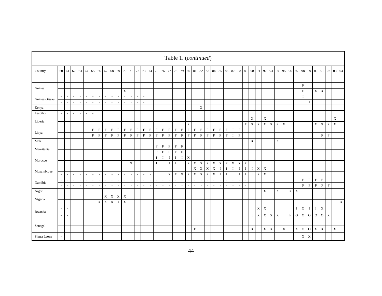|               |        |                          |              |              |                                    |                  |                                |                                |                                |              |                          |                                    |                          |              |                                    |              |             |                           |                |             |             |                            | Table 1. (continued)       |                            |                            |                    |                           |                      |               |                   |                         |                       |                           |             |             |             |              |                           |                             |             |                |              |             |                                                                                                                                                                  |                           |
|---------------|--------|--------------------------|--------------|--------------|------------------------------------|------------------|--------------------------------|--------------------------------|--------------------------------|--------------|--------------------------|------------------------------------|--------------------------|--------------|------------------------------------|--------------|-------------|---------------------------|----------------|-------------|-------------|----------------------------|----------------------------|----------------------------|----------------------------|--------------------|---------------------------|----------------------|---------------|-------------------|-------------------------|-----------------------|---------------------------|-------------|-------------|-------------|--------------|---------------------------|-----------------------------|-------------|----------------|--------------|-------------|------------------------------------------------------------------------------------------------------------------------------------------------------------------|---------------------------|
| Country       |        |                          |              |              |                                    |                  |                                |                                |                                |              |                          |                                    |                          |              |                                    |              |             |                           |                |             |             |                            |                            |                            |                            |                    |                           |                      |               |                   |                         |                       |                           |             |             |             |              |                           |                             |             |                |              |             | 60 01 02 03 04 05 06 07 08 09 00 01 02 03 04 05 06 07 08 08 03 04 05 06 07 08 08 08 09 00 1 02 03 04 05 06 07 08 09 00 01 02 03 04 05 06 07 08 09 00 01 02 03 04 |                           |
| Guinea        |        |                          |              |              |                                    |                  |                                |                                |                                |              | $\mathbf X$              |                                    |                          |              |                                    |              |             |                           |                |             |             |                            |                            |                            |                            |                    |                           |                      |               |                   |                         |                       |                           |             |             |             |              |                           | $\mathbf F$<br>$\, {\bf F}$ | $\mathbf F$ | $\mathbf X$    | $\mathbf{X}$ |             |                                                                                                                                                                  |                           |
| Guinea-Bissau | ÷.     | $\sim$<br>$\sim$         | $\sim$<br>÷. | $\sim$<br>÷. | $\sim$<br>÷.                       | $\sim$<br>$\sim$ | $\overline{\phantom{a}}$<br>ä, | $\overline{\phantom{a}}$<br>ä, | ÷,<br>ä,                       | $\sim$<br>ä, | $\sim$<br>$\sim$         | $\overline{\phantom{a}}$<br>$\sim$ | $\sim$<br>÷.             | $\sim$<br>÷. |                                    |              |             |                           |                |             |             |                            |                            |                            |                            |                    |                           |                      |               |                   |                         |                       |                           |             |             |             |              |                           | $\bf{I}$<br>$\bf{I}$        | <b>I</b>    |                |              |             |                                                                                                                                                                  |                           |
| Kenya         | $\sim$ | $\sim$                   | $\sim$       |              |                                    |                  |                                |                                |                                |              |                          |                                    |                          |              |                                    |              |             |                           |                |             |             |                            | $\mathbf X$                |                            |                            |                    |                           |                      |               |                   |                         |                       |                           |             |             |             |              |                           |                             |             |                |              |             |                                                                                                                                                                  |                           |
| Lesotho       | ÷.     | $\overline{\phantom{a}}$ | $\sim$       | $\sim$       | $\sim$                             | $\sim$           |                                |                                |                                |              |                          |                                    |                          |              |                                    |              |             |                           |                |             |             |                            |                            |                            |                            |                    |                           |                      |               |                   |                         |                       |                           |             |             |             |              |                           | $\;$ I                      |             |                |              |             |                                                                                                                                                                  |                           |
| Liberia       |        |                          |              |              |                                    |                  |                                |                                |                                |              |                          |                                    |                          |              |                                    |              |             |                           |                |             |             |                            |                            |                            |                            |                    |                           |                      |               |                   | $\mathbf X$             |                       | $\mathbf X$               |             |             |             |              |                           |                             |             |                |              |             | $\mathbf X$                                                                                                                                                      |                           |
|               |        |                          |              |              |                                    |                  |                                |                                |                                |              |                          |                                    |                          |              |                                    |              |             |                           |                |             | $\mathbf X$ |                            |                            |                            |                            |                    |                           |                      |               | $X \mid X$        |                         | $\mathbf X$           | $\mathbf X$               | $\mathbf X$ | $\mathbf X$ | $\mathbf X$ |              |                           |                             |             | $\mathbf X$    | $\mathbf X$  | $\mathbf X$ | $\mathbf X$                                                                                                                                                      |                           |
| Libya         |        |                          |              |              |                                    | $\mathbf F$      | $\mathbf F$                    | $\mathbf F$                    | $\mathbf{F}$                   | $\mathbf F$  | $\mathbf F$              | $\, {\bf F}$                       | $\, {\bf F}$             | $\mathbf F$  | $\mathbf F$                        | $\mathbf{F}$ | $\mathbf F$ | $\mathbf{F}$              | $\rm F$        | $\,$ F      | $\mathbf F$ | $\mathbf F$                | $\mathbf F$                | $\mathbf F$                | $\rm F$                    | $\mathbf F$        | $\mathbf F$               | $\mathbf I$          | $\mathbf F$   |                   |                         |                       |                           |             |             |             |              |                           |                             |             |                |              |             |                                                                                                                                                                  |                           |
|               |        |                          |              |              |                                    | $\mathbf F$      | $\mathbf F$                    | $\mathbf F$                    | $\mathbf F$                    | $\mathbf F$  | $\mathbf F$              | $\mathbf F$                        | $\mathbf F$              | $\mathbf F$  | $\mathbf F$                        | $\mathbf F$  | $\mathbf F$ | $\mathbf F$               | $\mathbf F$    | $\mathbf F$ | $\mathbf F$ | $\mathbf F$                | $\mathbf F$                | $\mathbf F$                | $\mathbf F$                | $\mathbf F$        | $\mathbf F$               | $\mathbf I$          | $\mathbf F$   |                   |                         |                       |                           |             |             |             |              |                           |                             |             |                | $\mathbf{F}$ | $\mathbf F$ |                                                                                                                                                                  |                           |
| Mali          |        |                          |              |              |                                    |                  |                                |                                |                                |              |                          |                                    |                          |              |                                    |              |             |                           |                |             |             |                            |                            |                            |                            |                    |                           |                      |               |                   | $\mathbf X$             |                       |                           |             | $\mathbf X$ |             |              |                           |                             |             |                |              |             |                                                                                                                                                                  |                           |
| Mauritania    |        |                          |              |              |                                    |                  |                                |                                |                                |              |                          |                                    |                          |              |                                    | $\rm F$      | $\;$ F      | $\mathbf F$               | $\,$ $\,$ $\,$ | $\,$ F      |             |                            |                            |                            |                            |                    |                           |                      |               |                   |                         |                       |                           |             |             |             |              |                           |                             |             |                |              |             |                                                                                                                                                                  |                           |
|               |        |                          |              |              |                                    |                  |                                |                                |                                |              |                          |                                    |                          |              |                                    | $\mathbf{F}$ | $\mathbf F$ | $\boldsymbol{\mathrm{F}}$ | $\mathbf{F}$   | $\mathbf F$ |             |                            |                            |                            |                            |                    |                           |                      |               |                   |                         |                       |                           |             |             |             |              |                           |                             |             |                |              |             |                                                                                                                                                                  |                           |
| Morocco       |        |                          |              |              |                                    |                  |                                |                                |                                |              |                          |                                    |                          |              |                                    | <b>I</b>     | $\mathbf I$ | л                         | <b>I</b>       | <b>I</b>    | $\mathbf X$ |                            |                            |                            |                            |                    |                           |                      |               |                   |                         |                       |                           |             |             |             |              |                           |                             |             |                |              |             |                                                                                                                                                                  |                           |
|               |        |                          |              |              |                                    |                  |                                |                                |                                |              |                          | $\mathbf X$                        |                          |              |                                    | $\mathbf I$  | $\mathbf I$ | $\mathbf I$               | $\mathbf I$    | $\rm I$     | $\mathbf X$ | $\mathbf X$                | $\mathbf X$                | $\mathbf X$                | $\mathbf X$                | $\mathbf X$        | $\boldsymbol{\mathrm{X}}$ | X                    | $\mathbf{X}$  | $\mathbf X$       |                         |                       |                           |             |             |             |              |                           |                             |             |                |              |             |                                                                                                                                                                  |                           |
| Mozambique    | $\sim$ | $\sim$<br>$\sim$         | ÷.           | ÷.           | ÷.                                 | ×.               | ×.                             | ÷,<br>ä,                       | ÷,                             | ÷,<br>ä,     | ÷,                       | $\sim$                             | ÷.                       | ÷.<br>÷.     | $\sim$                             |              |             | $\mathbf X$               | $\mathbf X$    | $\mathbf X$ | $\mathbf X$ | $\mathbf X$<br>$\mathbf X$ | $\mathbf X$<br>$\mathbf X$ | $\mathbf X$<br>$\mathbf X$ | $\mathbf X$<br>$\mathbf X$ | I                  | I                         | <b>I</b><br>$\bf{I}$ | I<br>$\bf{I}$ | $\mathbf I$<br>Ι. | $\mathbf I$<br><b>I</b> | $X \mid X$<br>$X$ $X$ |                           |             |             |             |              |                           |                             |             |                |              |             |                                                                                                                                                                  |                           |
|               | $\sim$ | $\sim$                   | $\sim$       |              | $\overline{\phantom{a}}$<br>$\sim$ | $\sim$<br>$\sim$ | $\sim$<br>$\sim$               | $\sim$                         | $\overline{\phantom{a}}$<br>ä, | $\sim$       | $\blacksquare$<br>$\sim$ | $\blacksquare$<br>$\sim$           | $\blacksquare$<br>$\sim$ | $\sim$       | $\overline{\phantom{a}}$<br>$\sim$ |              |             | $\sim$                    | $\sim$         | ٠           | $\sim$      | ä,                         | ä,                         | $\sim$                     | $\sim$                     | $\bf{I}$<br>$\sim$ | $\mathbf I$<br>$\sim$     | $\sim$               |               |                   |                         |                       |                           |             |             |             |              |                           | $\boldsymbol{\mathrm{F}}$   | $\mathbf F$ | $\mathbf F$    | $\mathbf F$  |             |                                                                                                                                                                  |                           |
| Namibia       | $\sim$ | $\sim$                   | $\sim$       | ÷.           | ÷.                                 | $\sim$           | $\sim$                         | ä,                             | ÷,                             | ÷.           | $\overline{\phantom{a}}$ | $\sim$                             | $\sim$                   | $\sim$       | $\sim$                             |              |             | $\sim$                    | $\sim$         | $\sim$      | ä,          | ä,                         | ÷,                         | ä,                         | $\sim$                     | $\sim$             | $\sim$                    |                      | $\sim$        |                   |                         |                       |                           |             |             |             |              |                           | $\mathbf F$                 | $\mathbf F$ | $\mathbf F$    | $\, {\bf F}$ | $\mathbf F$ |                                                                                                                                                                  |                           |
| $\,$ Niger    |        |                          |              |              |                                    |                  |                                |                                |                                |              |                          |                                    |                          |              |                                    |              |             |                           |                |             |             |                            |                            |                            |                            |                    |                           |                      |               |                   |                         |                       | $\boldsymbol{\mathrm{X}}$ |             | X           |             | X            | $\boldsymbol{\mathrm{X}}$ |                             |             |                |              |             |                                                                                                                                                                  |                           |
|               |        |                          |              |              |                                    |                  |                                | $\mathbf X$                    | $\mathbf X$                    | $\mathbf X$  | $\mathbf X$              |                                    |                          |              |                                    |              |             |                           |                |             |             |                            |                            |                            |                            |                    |                           |                      |               |                   |                         |                       |                           |             |             |             |              |                           |                             |             |                |              |             |                                                                                                                                                                  |                           |
| Nigeria       |        |                          |              |              |                                    |                  |                                | $X$ $X$                        | $\mathbf X$                    | $\mathbf X$  | $\mathbf X$              |                                    |                          |              |                                    |              |             |                           |                |             |             |                            |                            |                            |                            |                    |                           |                      |               |                   |                         |                       |                           |             |             |             |              |                           |                             |             |                |              |             |                                                                                                                                                                  | $\boldsymbol{\mathrm{X}}$ |
|               |        |                          |              |              |                                    |                  |                                |                                |                                |              |                          |                                    |                          |              |                                    |              |             |                           |                |             |             |                            |                            |                            |                            |                    |                           |                      |               |                   |                         | $\mathbf X$           | $\boldsymbol{\mathrm{X}}$ |             |             |             |              | $\mathbf I$               | $\mathbf 0$                 | $\mathbf I$ | <b>I</b>       | $\mathbf X$  |             |                                                                                                                                                                  |                           |
| Rwanda        |        | ÷.                       |              |              |                                    |                  |                                |                                |                                |              |                          |                                    |                          |              |                                    |              |             |                           |                |             |             |                            |                            |                            |                            |                    |                           |                      |               |                   | $\bf{I}$                | $\mathbf X$           | $\mathbf X$               | $\mathbf X$ | $\mathbf X$ |             | $\mathbf{F}$ | $\mathbf{o}$              | $\mathbf{O}$                | $\mathbf O$ | $\overline{O}$ | $\mathbf 0$  | $\mathbf X$ |                                                                                                                                                                  |                           |
|               |        |                          |              |              |                                    |                  |                                |                                |                                |              |                          |                                    |                          |              |                                    |              |             |                           |                |             |             |                            |                            |                            |                            |                    |                           |                      |               |                   |                         |                       |                           |             |             |             |              |                           | $\bf{I}$                    |             |                |              |             |                                                                                                                                                                  |                           |
| Senegal       |        |                          |              |              |                                    |                  |                                |                                |                                |              |                          |                                    |                          |              |                                    |              |             |                           |                |             |             | $\boldsymbol{\mathrm{F}}$  |                            |                            |                            |                    |                           |                      |               |                   | $\mathbf X$             |                       | $\mathbf X$               | $\mathbf X$ |             | $\mathbf X$ |              | $\mathbf X$               | $\mathbf O$                 | $\mathbf O$ | $\mathbf X$    | $\mathbf X$  |             | $\mathbf X$                                                                                                                                                      |                           |
| Sierra Leone  |        |                          |              |              |                                    |                  |                                |                                |                                |              |                          |                                    |                          |              |                                    |              |             |                           |                |             |             |                            |                            |                            |                            |                    |                           |                      |               |                   |                         |                       |                           |             |             |             |              |                           | $\mathbf X$                 | $\mathbf X$ |                |              |             |                                                                                                                                                                  |                           |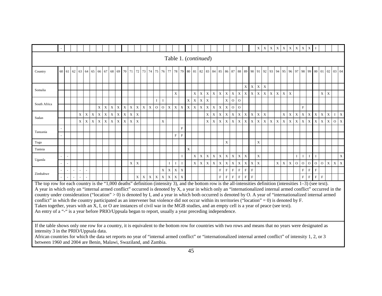|              |                                                                                                                                                                                                                                                                                                                                                                                                                                                                                                                                                                                                                                                                                                                                                                                                                                                                                                                                                                                                                                                                                                                                                                                                                                                                                                                                                                                                                                                                                                                                                                                                                                                                                                                                                                                                                                                                                                                                                                                                                                                                                                                                                                                                                                                                                                                                                                                                                                                                                                                                                                                                                                                                                                                                                                                                                                   |           |  |  |  |  |  |  |              |             |             |                      |             |              |   |              |              |          |                |  | X | X | $\boldsymbol{\mathrm{X}}$ | X | X | X | $X \mid X$   | $\boldsymbol{\mathrm{X}}$ |                                                                                                                                                                            |  |  |
|--------------|-----------------------------------------------------------------------------------------------------------------------------------------------------------------------------------------------------------------------------------------------------------------------------------------------------------------------------------------------------------------------------------------------------------------------------------------------------------------------------------------------------------------------------------------------------------------------------------------------------------------------------------------------------------------------------------------------------------------------------------------------------------------------------------------------------------------------------------------------------------------------------------------------------------------------------------------------------------------------------------------------------------------------------------------------------------------------------------------------------------------------------------------------------------------------------------------------------------------------------------------------------------------------------------------------------------------------------------------------------------------------------------------------------------------------------------------------------------------------------------------------------------------------------------------------------------------------------------------------------------------------------------------------------------------------------------------------------------------------------------------------------------------------------------------------------------------------------------------------------------------------------------------------------------------------------------------------------------------------------------------------------------------------------------------------------------------------------------------------------------------------------------------------------------------------------------------------------------------------------------------------------------------------------------------------------------------------------------------------------------------------------------------------------------------------------------------------------------------------------------------------------------------------------------------------------------------------------------------------------------------------------------------------------------------------------------------------------------------------------------------------------------------------------------------------------------------------------------|-----------|--|--|--|--|--|--|--------------|-------------|-------------|----------------------|-------------|--------------|---|--------------|--------------|----------|----------------|--|---|---|---------------------------|---|---|---|--------------|---------------------------|----------------------------------------------------------------------------------------------------------------------------------------------------------------------------|--|--|
|              |                                                                                                                                                                                                                                                                                                                                                                                                                                                                                                                                                                                                                                                                                                                                                                                                                                                                                                                                                                                                                                                                                                                                                                                                                                                                                                                                                                                                                                                                                                                                                                                                                                                                                                                                                                                                                                                                                                                                                                                                                                                                                                                                                                                                                                                                                                                                                                                                                                                                                                                                                                                                                                                                                                                                                                                                                                   |           |  |  |  |  |  |  |              |             |             | Table 1. (continued) |             |              |   |              |              |          |                |  |   |   |                           |   |   |   |              |                           |                                                                                                                                                                            |  |  |
| Country      |                                                                                                                                                                                                                                                                                                                                                                                                                                                                                                                                                                                                                                                                                                                                                                                                                                                                                                                                                                                                                                                                                                                                                                                                                                                                                                                                                                                                                                                                                                                                                                                                                                                                                                                                                                                                                                                                                                                                                                                                                                                                                                                                                                                                                                                                                                                                                                                                                                                                                                                                                                                                                                                                                                                                                                                                                                   | $60 \ 61$ |  |  |  |  |  |  |              |             |             |                      |             |              |   |              |              |          |                |  |   |   |                           |   |   |   |              |                           | 62  63  64  65  66  67  68  69  70  71  72  73  74  75  76  77  78  79  80  81  82  83  84  85  86  87  88  89  90  91  92  93  94  95  96  97  98  99  00  01  02  03  04 |  |  |
| Somalia      |                                                                                                                                                                                                                                                                                                                                                                                                                                                                                                                                                                                                                                                                                                                                                                                                                                                                                                                                                                                                                                                                                                                                                                                                                                                                                                                                                                                                                                                                                                                                                                                                                                                                                                                                                                                                                                                                                                                                                                                                                                                                                                                                                                                                                                                                                                                                                                                                                                                                                                                                                                                                                                                                                                                                                                                                                                   |           |  |  |  |  |  |  |              |             |             |                      |             |              |   |              |              |          |                |  |   |   |                           |   |   |   |              |                           |                                                                                                                                                                            |  |  |
|              |                                                                                                                                                                                                                                                                                                                                                                                                                                                                                                                                                                                                                                                                                                                                                                                                                                                                                                                                                                                                                                                                                                                                                                                                                                                                                                                                                                                                                                                                                                                                                                                                                                                                                                                                                                                                                                                                                                                                                                                                                                                                                                                                                                                                                                                                                                                                                                                                                                                                                                                                                                                                                                                                                                                                                                                                                                   |           |  |  |  |  |  |  |              |             | $\mathbf X$ |                      |             |              |   | $\mathbf{x}$ |              |          |                |  |   |   |                           |   |   |   |              |                           |                                                                                                                                                                            |  |  |
| South Africa |                                                                                                                                                                                                                                                                                                                                                                                                                                                                                                                                                                                                                                                                                                                                                                                                                                                                                                                                                                                                                                                                                                                                                                                                                                                                                                                                                                                                                                                                                                                                                                                                                                                                                                                                                                                                                                                                                                                                                                                                                                                                                                                                                                                                                                                                                                                                                                                                                                                                                                                                                                                                                                                                                                                                                                                                                                   |           |  |  |  |  |  |  | $\mathbf{I}$ | $\mathbf I$ |             | $\mathbf X$          | $\mathbf x$ | $\mathbf{X}$ | X |              | $\mathbf{x}$ | $\Omega$ | $\Omega$       |  |   |   |                           |   |   |   |              |                           |                                                                                                                                                                            |  |  |
|              |                                                                                                                                                                                                                                                                                                                                                                                                                                                                                                                                                                                                                                                                                                                                                                                                                                                                                                                                                                                                                                                                                                                                                                                                                                                                                                                                                                                                                                                                                                                                                                                                                                                                                                                                                                                                                                                                                                                                                                                                                                                                                                                                                                                                                                                                                                                                                                                                                                                                                                                                                                                                                                                                                                                                                                                                                                   |           |  |  |  |  |  |  |              |             |             |                      |             |              |   |              |              |          | $\overline{O}$ |  |   |   |                           |   |   |   | $\mathbf{F}$ |                           |                                                                                                                                                                            |  |  |
| Sudan        |                                                                                                                                                                                                                                                                                                                                                                                                                                                                                                                                                                                                                                                                                                                                                                                                                                                                                                                                                                                                                                                                                                                                                                                                                                                                                                                                                                                                                                                                                                                                                                                                                                                                                                                                                                                                                                                                                                                                                                                                                                                                                                                                                                                                                                                                                                                                                                                                                                                                                                                                                                                                                                                                                                                                                                                                                                   |           |  |  |  |  |  |  |              |             |             |                      |             |              |   |              |              |          |                |  |   |   |                           |   |   |   |              |                           |                                                                                                                                                                            |  |  |
|              |                                                                                                                                                                                                                                                                                                                                                                                                                                                                                                                                                                                                                                                                                                                                                                                                                                                                                                                                                                                                                                                                                                                                                                                                                                                                                                                                                                                                                                                                                                                                                                                                                                                                                                                                                                                                                                                                                                                                                                                                                                                                                                                                                                                                                                                                                                                                                                                                                                                                                                                                                                                                                                                                                                                                                                                                                                   |           |  |  |  |  |  |  |              |             |             |                      |             |              |   |              |              |          |                |  |   |   |                           |   |   |   |              |                           |                                                                                                                                                                            |  |  |
| Tanzania     |                                                                                                                                                                                                                                                                                                                                                                                                                                                                                                                                                                                                                                                                                                                                                                                                                                                                                                                                                                                                                                                                                                                                                                                                                                                                                                                                                                                                                                                                                                                                                                                                                                                                                                                                                                                                                                                                                                                                                                                                                                                                                                                                                                                                                                                                                                                                                                                                                                                                                                                                                                                                                                                                                                                                                                                                                                   |           |  |  |  |  |  |  |              |             |             |                      |             |              |   |              |              |          |                |  |   |   |                           |   |   |   |              |                           |                                                                                                                                                                            |  |  |
|              |                                                                                                                                                                                                                                                                                                                                                                                                                                                                                                                                                                                                                                                                                                                                                                                                                                                                                                                                                                                                                                                                                                                                                                                                                                                                                                                                                                                                                                                                                                                                                                                                                                                                                                                                                                                                                                                                                                                                                                                                                                                                                                                                                                                                                                                                                                                                                                                                                                                                                                                                                                                                                                                                                                                                                                                                                                   |           |  |  |  |  |  |  |              |             |             |                      |             |              |   |              |              |          |                |  |   |   |                           |   |   |   |              |                           |                                                                                                                                                                            |  |  |
| Togo         |                                                                                                                                                                                                                                                                                                                                                                                                                                                                                                                                                                                                                                                                                                                                                                                                                                                                                                                                                                                                                                                                                                                                                                                                                                                                                                                                                                                                                                                                                                                                                                                                                                                                                                                                                                                                                                                                                                                                                                                                                                                                                                                                                                                                                                                                                                                                                                                                                                                                                                                                                                                                                                                                                                                                                                                                                                   |           |  |  |  |  |  |  |              |             |             |                      |             |              |   |              |              |          |                |  |   |   |                           |   |   |   |              |                           |                                                                                                                                                                            |  |  |
| Tunisia      |                                                                                                                                                                                                                                                                                                                                                                                                                                                                                                                                                                                                                                                                                                                                                                                                                                                                                                                                                                                                                                                                                                                                                                                                                                                                                                                                                                                                                                                                                                                                                                                                                                                                                                                                                                                                                                                                                                                                                                                                                                                                                                                                                                                                                                                                                                                                                                                                                                                                                                                                                                                                                                                                                                                                                                                                                                   |           |  |  |  |  |  |  |              |             |             |                      |             |              |   |              |              |          |                |  |   |   |                           |   |   |   |              |                           |                                                                                                                                                                            |  |  |
| Uganda       | $X$ $X$ $X$ $X$<br>$\mathbf{X}$<br>$\mathbf X$<br>$X$ $X$ $X$ $X$ $X$ $X$ $X$<br>$X$ $\vert$ $X$<br>$X \mid X$<br>$\mathbf{X}$<br>X<br>X<br>$X$ $X$ $X$ $X$ $X$ $X$ $X$ $X$ $X$ $O$ $O$ $X$ $X$<br>$X \mid X$<br>$\mathbf X$<br>$X$ $X$<br>$\mathbf X$<br>$\mathbf{X}$<br>$\overline{O}$<br>$X$ $X$ $X$ $X$ $X$ $X$ $X$ $X$<br>X X X X<br>$X$ $X$ $X$ $X$ $X$ $X$ $X$<br>$\mathbf{X}$<br>$\mathbf{X}$<br>$\mathbf{x}$<br>$\mathbf{X}$<br>$\mathbf{X}$<br>X<br>$\mathbf{X}$<br>$I \mid X$<br>$X$ $X$ $X$ $X$ $X$ $X$ $X$<br>$\mathbf{x}$<br>$\mathbf{x}$<br>$\mathbf X$<br>$\mathbf{x}$<br>$\mathbf{x}$<br>$\mathbf{X}$<br>$\mathbf{x}$<br>$\mathbf{x}$<br>$\mathbf{x}$<br>O X<br>F<br>F<br>$\mathbf F$<br>$\mathbf X$<br>X<br>$\mathbf X$<br>$X$ $X$ $X$ $X$ $X$ $X$<br>$I$ $I$ $I$ $I$<br>$\mathbf X$<br>$\mathbf X$<br>$\mathbf{X}$<br>X<br>$\mathbf{X}$<br>$X$ $X$<br>$0$ 0 0 0 $x$ $x$ $x$<br>$\ensuremath{\mathbf{X}}$<br>$\mathbf X$<br>$\mathbf{I}$<br>$X$ $X$ $X$<br>$\mathbf{X}$<br>$\mathbf X$<br>$\mathbf X$<br>$\mathbf{I}$<br>$\mathbf{I}$<br>$\mathbf{X}$<br>$\boldsymbol{\mathrm{X}}$<br>$\mathbf X$<br>$\boldsymbol{\mathrm{X}}$<br>$\mathbf X$<br>$\mathbf X$<br>$\mathbf X$<br>$\mathbf X$<br>$\mathbf{X}$<br>F<br>$\overline{F}$<br>F<br>$\mathbf{F}$<br>F<br>$\mathbf F$<br>F<br>F<br>F<br>$X \mid X$<br>$\mathbf x$<br>$\mathbf{x}$<br>$X \mid X$<br>F<br>F<br>F<br>$\mathbf{x}$<br>$\mathbf{X}$<br>F<br>F<br>F<br>F<br>$\mathbf F$<br>F<br>F<br>The top row for each country is the "1,000 deaths" definition (intensity 3), and the bottom row is the all-intensities definition (intensities $1-3$ ) (see text).<br>A year in which only an "internal armed conflict" occurred is denoted by X, a year in which only an "internationalized internal armed conflict" occurred in the<br>country under consideration ("location" > 0) is denoted by I, and a year in which both occurred is denoted by O. A year of "internationalized internal armed<br>conflict" in which the country participated as an intervener but violence did not occur within its territories ("location" = 0) is denoted by $F$ .<br>Taken together, years with an X, I, or O are instances of civil war in the MGB studies, and an empty cell is a year of peace (see text).<br>An entry of a "-" is a year before PRIO/Uppsala began to report, usually a year preceding independence.<br>If the table shows only one row for a country, it is equivalent to the bottom row for countries with two rows and means that no years were designated as<br>intensity 3 in the PRIO/Uppsala data.<br>African countries for which the data set reports no year of "internal armed conflict" or "internationalized internal armed conflict" of intensity 1, 2, or 3<br>between 1960 and 2004 are Benin, Malawi, Swaziland, and Zambia. |           |  |  |  |  |  |  |              |             |             |                      |             |              |   |              |              |          |                |  |   |   |                           |   |   |   |              |                           |                                                                                                                                                                            |  |  |
|              |                                                                                                                                                                                                                                                                                                                                                                                                                                                                                                                                                                                                                                                                                                                                                                                                                                                                                                                                                                                                                                                                                                                                                                                                                                                                                                                                                                                                                                                                                                                                                                                                                                                                                                                                                                                                                                                                                                                                                                                                                                                                                                                                                                                                                                                                                                                                                                                                                                                                                                                                                                                                                                                                                                                                                                                                                                   |           |  |  |  |  |  |  |              |             |             |                      |             |              |   |              |              |          |                |  |   |   |                           |   |   |   |              |                           |                                                                                                                                                                            |  |  |
| Zimbabwe     |                                                                                                                                                                                                                                                                                                                                                                                                                                                                                                                                                                                                                                                                                                                                                                                                                                                                                                                                                                                                                                                                                                                                                                                                                                                                                                                                                                                                                                                                                                                                                                                                                                                                                                                                                                                                                                                                                                                                                                                                                                                                                                                                                                                                                                                                                                                                                                                                                                                                                                                                                                                                                                                                                                                                                                                                                                   |           |  |  |  |  |  |  |              |             |             |                      |             |              |   |              |              |          |                |  |   |   |                           |   |   |   |              |                           |                                                                                                                                                                            |  |  |
|              |                                                                                                                                                                                                                                                                                                                                                                                                                                                                                                                                                                                                                                                                                                                                                                                                                                                                                                                                                                                                                                                                                                                                                                                                                                                                                                                                                                                                                                                                                                                                                                                                                                                                                                                                                                                                                                                                                                                                                                                                                                                                                                                                                                                                                                                                                                                                                                                                                                                                                                                                                                                                                                                                                                                                                                                                                                   |           |  |  |  |  |  |  |              |             |             |                      |             |              |   |              |              |          |                |  |   |   |                           |   |   |   |              |                           |                                                                                                                                                                            |  |  |
|              |                                                                                                                                                                                                                                                                                                                                                                                                                                                                                                                                                                                                                                                                                                                                                                                                                                                                                                                                                                                                                                                                                                                                                                                                                                                                                                                                                                                                                                                                                                                                                                                                                                                                                                                                                                                                                                                                                                                                                                                                                                                                                                                                                                                                                                                                                                                                                                                                                                                                                                                                                                                                                                                                                                                                                                                                                                   |           |  |  |  |  |  |  |              |             |             |                      |             |              |   |              |              |          |                |  |   |   |                           |   |   |   |              |                           |                                                                                                                                                                            |  |  |
|              |                                                                                                                                                                                                                                                                                                                                                                                                                                                                                                                                                                                                                                                                                                                                                                                                                                                                                                                                                                                                                                                                                                                                                                                                                                                                                                                                                                                                                                                                                                                                                                                                                                                                                                                                                                                                                                                                                                                                                                                                                                                                                                                                                                                                                                                                                                                                                                                                                                                                                                                                                                                                                                                                                                                                                                                                                                   |           |  |  |  |  |  |  |              |             |             |                      |             |              |   |              |              |          |                |  |   |   |                           |   |   |   |              |                           |                                                                                                                                                                            |  |  |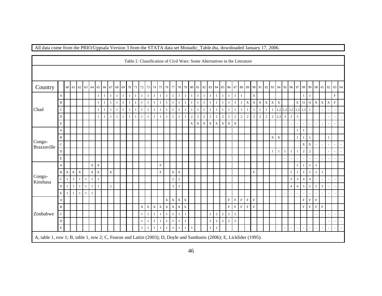All data come from the PRIO/Uppsala Version 3 from the STATA data set Monadic\_Table.dta, downloaded January 17, 2006.

|             |                           |              |              |                   |              |              |                                   |                 |                |              |              | Table 2. Classification of Civil Wars: Some Alternatives in the Literature           |              |              |              |              |                |              |                |                                                        |                     |                |                |              |                      |                |             |              |                                   |                |             |             |                |                |                |              |              |                              |                         |                |                 |                 |                 |              |                          |  |
|-------------|---------------------------|--------------|--------------|-------------------|--------------|--------------|-----------------------------------|-----------------|----------------|--------------|--------------|--------------------------------------------------------------------------------------|--------------|--------------|--------------|--------------|----------------|--------------|----------------|--------------------------------------------------------|---------------------|----------------|----------------|--------------|----------------------|----------------|-------------|--------------|-----------------------------------|----------------|-------------|-------------|----------------|----------------|----------------|--------------|--------------|------------------------------|-------------------------|----------------|-----------------|-----------------|-----------------|--------------|--------------------------|--|
|             |                           |              |              |                   |              |              |                                   |                 |                |              |              |                                                                                      |              |              |              |              |                |              |                |                                                        |                     |                |                |              |                      |                |             |              |                                   |                |             |             |                |                |                |              |              |                              |                         |                |                 |                 |                 |              |                          |  |
|             |                           |              |              |                   |              |              |                                   |                 |                |              |              |                                                                                      |              |              |              |              |                |              |                |                                                        |                     |                |                |              |                      |                |             |              |                                   |                |             |             |                |                |                |              |              |                              |                         |                |                 |                 |                 |              |                          |  |
| Country     |                           |              |              |                   |              |              |                                   |                 |                |              |              | $60 \mid 61 \mid 62 \mid 63 \mid 64 \mid 65 \mid 66 \mid 67 \mid 68 \mid 69 \mid 70$ | 171          | 72           | 73 74        |              |                |              |                |                                                        | 75 76 77 78 79 80   |                |                |              | 81 82 83 84 85 86 87 |                |             |              |                                   | 88 89          |             |             |                |                |                |              |              | $90$ 91 92 93 94 95 96 97 98 |                         |                |                 |                 | 99 00 01 02     |              | 03 04                    |  |
|             | $\boldsymbol{A}$          |              |              |                   |              |              | $\mathbf{I}$                      | $\vert$ $\vert$ | $\mathbf{I}$   | $\bf{I}$     | $\bf I$      | I                                                                                    | $\bf{I}$     | $\bf{I}$     | $\;$ I       | $\bf{I}$     | $\mathbf{I}$   | $\mathbf{I}$ |                |                                                        | $I$ $I$ $I$ $I$ $I$ |                |                |              | $I \mid I$           |                | $I$ $I$     | $I \mid I$   |                                   | $\mathbf I$    |             | $\mathbf X$ |                |                |                |              |              |                              |                         | $\mathbf{I}$   | $\bf{I}$        |                 |                 |              | $\mathbf F$              |  |
|             | $\, {\bf B}$              |              |              |                   |              |              | $\mathbf{I}$                      | $\bf{I}$        |                |              |              |                                                                                      |              |              |              | <b>I</b>     | $\bf{I}$       | $\bf{I}$     | $\mathbf{I}$   | $\bf{I}$                                               | $\bf{I}$            | $\bf{I}$       | $\bf{I}$       | $\bf{I}$     | $\mathbf I$          | $\bf I$        | $\mathbf I$ | <b>I</b>     | $\mathbf I$                       | $\bf{I}$       | $\mathbf X$ | $\mathbf X$ | $\bold{X}$     | $\mathbf X$    | $\mathbf X$    | $\mathbf X$  |              |                              | $\mathbf X$             | $\overline{O}$ | $\overline{O}$  | $\mathbf X$     | $\mathbf X$     | $\mathbf X$  | $\mathbf F$              |  |
| Chad        | ${\bf C}$                 |              |              |                   |              |              | $1\vert$                          | $\mathbf{1}$    | $\mathbf{1}$   | $\mathbf{1}$ | $\mathbf{1}$ |                                                                                      | $\mathbf{1}$ | $\mathbf{1}$ | $\mathbf{1}$ | $\mathbf{1}$ | $\mathbf{1}$   | $\mathbf{1}$ | $\mathbf{1}$   | $\mathbf{1}$                                           | $\mathbf{1}$        | $\mathbf{1}$   | $\mathbf{1}$   | $\mathbf{1}$ | $\mathbf{1}$         | $\mathbf{1}$   |             | $\mathbf{1}$ | $\mathbf{1}$                      | $\mathbf{1}$   |             |             |                |                | $\mathbf{1}$   |              |              | $1,2$ 1,2 1,2 1,2 1,2        |                         |                | $\mathbf{1}$    |                 |                 | ÷,           | $\sim$                   |  |
|             | D                         |              |              |                   |              |              | $\frac{1}{1}$                     | $\mathbf{1}$    | $\mathbf{1}$   | $\mathbf{1}$ | $\mathbf{1}$ |                                                                                      | -1           | $\mathbf{1}$ | $\mathbf{1}$ | 1            | $\mathbf{1}$   | 1            | $1\phantom{.}$ | $\mathbf{1}$                                           | $\mathbf{1}$        | $\overline{2}$ | $\overline{2}$ | $2 \mid$     | $\sqrt{2}$           | $2 \mid 2$     |             | $2^{\circ}$  | $\sqrt{2}$                        | $\overline{2}$ | 2           | $\sqrt{2}$  | $\overline{2}$ | $\overline{2}$ | $\overline{2}$ |              | $2,3$ 3      | 3 <sup>1</sup>               | $\overline{\mathbf{3}}$ |                |                 |                 |                 |              | $\overline{\phantom{a}}$ |  |
|             | $\mathbf E$               |              |              |                   |              |              |                                   |                 |                |              |              |                                                                                      |              |              |              |              |                |              |                |                                                        |                     |                |                |              | $X$ $X$ $X$ $X$ $X$  |                |             |              | $\mathbf{X} \parallel \mathbf{X}$ |                |             |             |                |                |                |              |              |                              | $\sim$                  | $\sim$         | ÷,              | ÷.              |                 |              | $\sim$                   |  |
|             | $\boldsymbol{\mathsf{A}}$ |              |              |                   |              |              |                                   |                 |                |              |              |                                                                                      |              |              |              |              |                |              |                |                                                        |                     |                |                |              |                      |                |             |              |                                   |                |             |             |                |                |                |              |              |                              |                         | $I \mid I$     |                 |                 |                 |              |                          |  |
|             | $\, {\bf B}$              |              |              |                   |              |              |                                   |                 |                |              |              |                                                                                      |              |              |              |              |                |              |                |                                                        |                     |                |                |              |                      |                |             |              |                                   |                |             |             |                |                | $\mathbf X$    | $\mathbf X$  |              |                              | $\mathbf I$             | $\mathbf{I}$   | $\mathbf I$     |                 |                 | $\mathbf{I}$ |                          |  |
| Congo-      | $\mathbf{C}$              |              |              |                   |              |              |                                   |                 |                |              |              |                                                                                      |              |              |              |              |                |              |                |                                                        |                     |                |                |              |                      |                |             |              |                                   |                |             |             |                |                |                |              |              |                              |                         | $X \mid X$     |                 |                 |                 | ÷,           | $\sim$                   |  |
| Brazzaville | D                         |              |              |                   |              |              |                                   |                 |                |              |              |                                                                                      |              |              |              |              |                |              |                |                                                        |                     |                |                |              |                      |                |             |              |                                   |                |             |             |                |                | $\mathbf{1}$   | $\mathbf{1}$ | $\mathbf{1}$ | $\mathbf{1}$                 | $\mathbf{1}$            | $\overline{c}$ | $\overline{c}$  |                 |                 |              | $\overline{\phantom{a}}$ |  |
|             | $\mathbf E$               |              |              |                   |              |              |                                   |                 |                |              |              |                                                                                      |              |              |              |              |                |              |                |                                                        |                     |                |                |              |                      |                |             |              |                                   |                |             |             |                |                |                |              |              |                              |                         | ÷.             |                 |                 |                 |              | $\overline{a}$           |  |
|             | $\mathbf{A}$              |              |              |                   |              |              | $\mathbf{X} \parallel \mathbf{X}$ |                 |                |              |              |                                                                                      |              |              |              |              | $\mathbf F$    |              |                |                                                        |                     |                |                |              |                      |                |             |              |                                   |                |             |             |                |                |                |              |              |                              | $\mathbf{I}$            | $\mathbf{I}$   | $\mathbf I$     | $\mathbf I$     |                 |              |                          |  |
|             | $\, {\bf B}$              | $\mathbf X$  | $\mathbf X$  | $\mathbf X$       |              |              | $\mathbf{X} \parallel \mathbf{X}$ |                 | $\mathbf X$    |              |              |                                                                                      |              |              |              |              | $\mathbf F$    |              |                | $\mathbf{X} - \mathbf{X}$                              |                     |                |                |              |                      |                |             |              |                                   |                |             | $\mathbf F$ |                |                |                |              |              | $\mathbf I$                  | $\mathbf I$             | $\mathbf I$    | $\mathbf{I}$    | $\mathbf I$     | $\mathbf{I}$    |              |                          |  |
| Congo-      | $\mathbf C$               | $\mathbf{1}$ | $\mathbf{1}$ | $\overline{1}$    | $\mathbf{1}$ | $\mathbf{1}$ | $\mathbf{1}$                      |                 |                |              |              |                                                                                      |              |              |              |              |                |              | $\overline{c}$ | $\overline{2}$                                         |                     |                |                |              |                      |                |             |              |                                   |                |             |             |                |                |                |              |              | $\mathfrak{Z}$               | $\overline{3}$          | $\overline{4}$ | $\overline{4}$  |                 |                 | ÷,           | $\sim$                   |  |
| Kinshasa    | $\mathbf{D}$              | $\mathbf{1}$ | $\mathbf{1}$ | $\mathbf{1}$      | $\mathbf{1}$ | $\mathbf{1}$ | $\mathbf{1}$                      |                 | $\overline{2}$ |              |              |                                                                                      |              |              |              |              |                |              |                | $3 \mid 3$                                             |                     |                |                |              |                      |                |             |              |                                   |                |             |             |                |                |                |              |              | $\overline{4}$               | $\overline{4}$          | $\overline{5}$ | $5\overline{)}$ | $5\phantom{.0}$ | $5\overline{)}$ |              | $\overline{\phantom{a}}$ |  |
|             | $\mathbf E$               | $\mathbf{1}$ | $\mathbf{1}$ | $\cdot$ 1 $\cdot$ | $\mathbf{1}$ | $\mathbf{1}$ |                                   |                 |                |              |              |                                                                                      |              |              |              |              |                |              |                |                                                        |                     |                |                |              |                      |                |             |              |                                   |                |             |             |                |                |                |              |              |                              |                         | $\sim$         |                 |                 |                 |              | $\sim$                   |  |
|             | $\mathbf{A}$              |              |              |                   |              |              |                                   |                 |                |              |              |                                                                                      |              |              |              |              |                | $\mathbf X$  |                | $\mathbf{X} \parallel \mathbf{X} \parallel \mathbf{X}$ |                     |                |                |              |                      |                |             | $\mathbf F$  | $\mathbf F$                       | $\mathbf F$    | $\mathbf F$ | $\mathbf F$ |                |                |                |              |              |                              |                         | $\mathbf F$    | $\mathbf F$     | $\mathbf F$     |                 |              |                          |  |
|             | $\, {\bf B}$              |              |              |                   |              |              |                                   |                 |                |              |              |                                                                                      |              | $\mathbf X$  | $\mathbf X$  | $\mathbf X$  | $\mathbf X$    | $\mathbf X$  | $\mathbf X$    | $X$ $X$                                                |                     |                |                |              |                      |                |             | F            | $\mathbf F$                       | $\mathbf F$    | $\mathbf F$ | $\mathbf F$ |                |                |                |              |              |                              |                         | F              | $\mathbf F$     | $\mathbf F$     | $\mathbf F$     |              |                          |  |
| Zimbabwe    | $\mathbf C$               |              |              |                   |              |              |                                   |                 |                |              |              |                                                                                      |              | $\mathbf{1}$ | 1            | $\mathbf{1}$ | $\mathbf{1}$   | $\mathbf{1}$ | $\mathbf{1}$   | $\mathbf{1}$                                           | $\mathbf{1}$        |                |                |              | $\overline{2}$       | $\sqrt{2}$     | $\sqrt{2}$  |              | $2 \mid 2$                        |                |             |             |                |                |                |              |              |                              |                         |                |                 |                 | ä,              | ÷,           | $\sim$                   |  |
|             | $\mathbf D$               |              |              |                   |              |              |                                   |                 |                |              |              |                                                                                      |              | $\mathbf{1}$ | $\mathbf{1}$ | -1           | $\mathbf{1}$   | $\mathbf{1}$ | $\mathbf{1}$   | $\mathbf{1}$                                           | $\mathbf{1}$        |                |                |              | $\overline{c}$       | $\sqrt{2}$     | $2^{\circ}$ | $2 \mid$     | $\overline{c}$                    |                |             |             |                |                |                |              |              |                              |                         |                |                 |                 |                 |              | $\overline{\phantom{a}}$ |  |
|             | $\mathbf E$               |              |              |                   |              |              |                                   |                 |                |              |              |                                                                                      |              | $\mathbf{1}$ | -1           | 1            | $\overline{1}$ | $\mathbf{1}$ | $\mathbf{1}$   | $\mathbf{1}$                                           | $\mathbf{1}$        |                |                |              | $\overline{2}$       | $\overline{c}$ |             |              |                                   |                |             |             |                |                |                |              |              |                              |                         | J.             |                 |                 |                 |              | $\sim$                   |  |
|             |                           |              |              |                   |              |              |                                   |                 |                |              |              |                                                                                      |              |              |              |              |                |              |                |                                                        |                     |                |                |              |                      |                |             |              |                                   |                |             |             |                |                |                |              |              |                              |                         |                |                 |                 |                 |              |                          |  |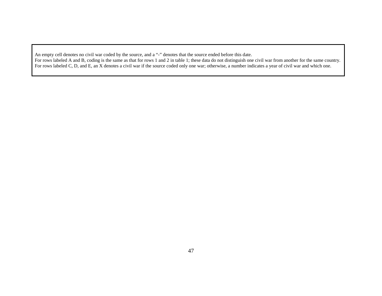An empty cell denotes no civil war coded by the source, and a "-" denotes that the source ended before this date. For rows labeled A and B, coding is the same as that for rows 1 and 2 in table 1; these data do not distinguish one civil war from another for the same country. For rows labeled C, D, and E, an X denotes a civil war if the source coded only one war; otherwise, a number indicates a year of civil war and which one.